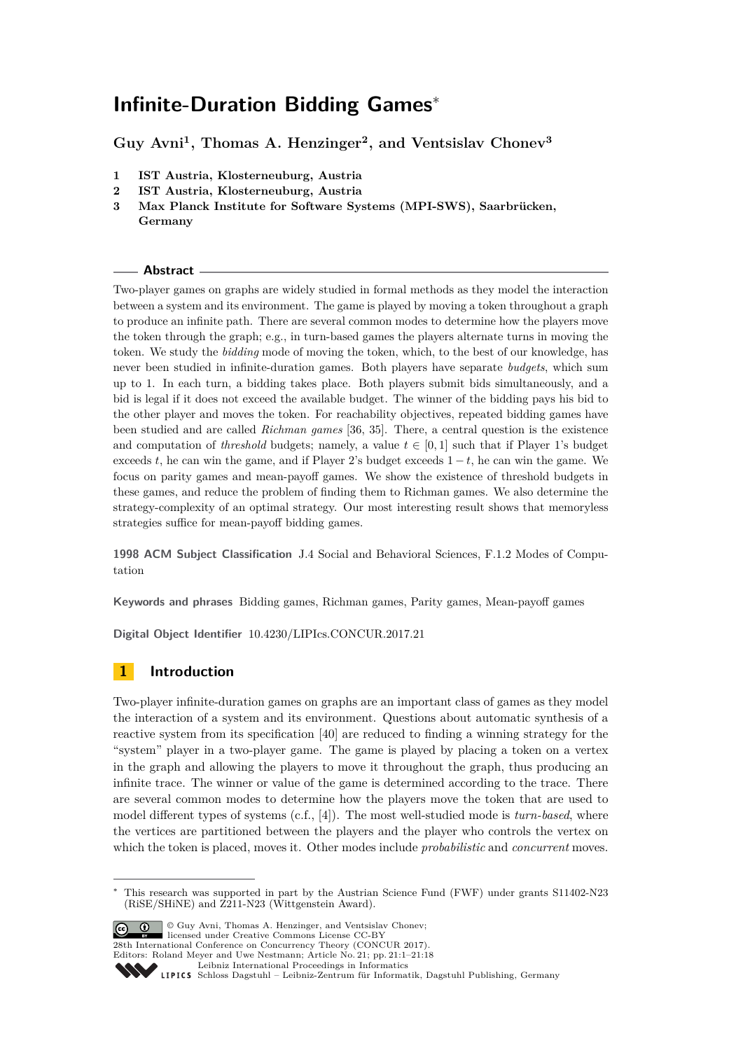# **Infinite-Duration Bidding Games**<sup>∗</sup>

**Guy Avni<sup>1</sup> , Thomas A. Henzinger<sup>2</sup> , and Ventsislav Chonev<sup>3</sup>**

- **1 IST Austria, Klosterneuburg, Austria**
- **2 IST Austria, Klosterneuburg, Austria**
- **3 Max Planck Institute for Software Systems (MPI-SWS), Saarbrücken, Germany**

### **Abstract**

Two-player games on graphs are widely studied in formal methods as they model the interaction between a system and its environment. The game is played by moving a token throughout a graph to produce an infinite path. There are several common modes to determine how the players move the token through the graph; e.g., in turn-based games the players alternate turns in moving the token. We study the *bidding* mode of moving the token, which, to the best of our knowledge, has never been studied in infinite-duration games. Both players have separate *budgets*, which sum up to 1. In each turn, a bidding takes place. Both players submit bids simultaneously, and a bid is legal if it does not exceed the available budget. The winner of the bidding pays his bid to the other player and moves the token. For reachability objectives, repeated bidding games have been studied and are called *Richman games* [\[36,](#page-16-0) [35\]](#page-16-1). There, a central question is the existence and computation of *threshold* budgets; namely, a value  $t \in [0, 1]$  such that if Player 1's budget exceeds  $t$ , he can win the game, and if Player 2's budget exceeds  $1 - t$ , he can win the game. We focus on parity games and mean-payoff games. We show the existence of threshold budgets in these games, and reduce the problem of finding them to Richman games. We also determine the strategy-complexity of an optimal strategy. Our most interesting result shows that memoryless strategies suffice for mean-payoff bidding games.

**1998 ACM Subject Classification** J.4 Social and Behavioral Sciences, F.1.2 Modes of Computation

**Keywords and phrases** Bidding games, Richman games, Parity games, Mean-payoff games

**Digital Object Identifier** [10.4230/LIPIcs.CONCUR.2017.21](http://dx.doi.org/10.4230/LIPIcs.CONCUR.2017.21)

# **1 Introduction**

Two-player infinite-duration games on graphs are an important class of games as they model the interaction of a system and its environment. Questions about automatic synthesis of a reactive system from its specification [\[40\]](#page-16-2) are reduced to finding a winning strategy for the "system" player in a two-player game. The game is played by placing a token on a vertex in the graph and allowing the players to move it throughout the graph, thus producing an infinite trace. The winner or value of the game is determined according to the trace. There are several common modes to determine how the players move the token that are used to model different types of systems (c.f., [\[4\]](#page-15-0)). The most well-studied mode is *turn-based*, where the vertices are partitioned between the players and the player who controls the vertex on which the token is placed, moves it. Other modes include *probabilistic* and *concurrent* moves.

This research was supported in part by the Austrian Science Fund (FWF) under grants S11402-N23 (RiSE/SHiNE) and Z211-N23 (Wittgenstein Award).

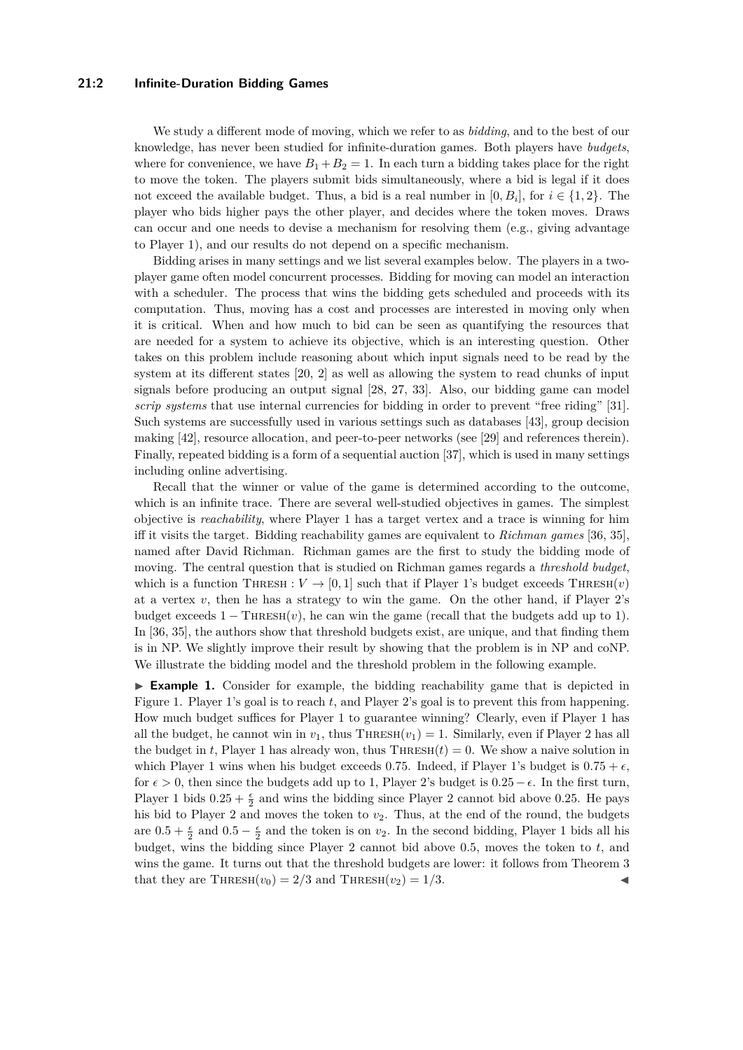### **21:2 Infinite-Duration Bidding Games**

We study a different mode of moving, which we refer to as *bidding*, and to the best of our knowledge, has never been studied for infinite-duration games. Both players have *budgets*, where for convenience, we have  $B_1 + B_2 = 1$ . In each turn a bidding takes place for the right to move the token. The players submit bids simultaneously, where a bid is legal if it does not exceed the available budget. Thus, a bid is a real number in  $[0, B_i]$ , for  $i \in \{1, 2\}$ . The player who bids higher pays the other player, and decides where the token moves. Draws can occur and one needs to devise a mechanism for resolving them (e.g., giving advantage to Player 1), and our results do not depend on a specific mechanism.

Bidding arises in many settings and we list several examples below. The players in a twoplayer game often model concurrent processes. Bidding for moving can model an interaction with a scheduler. The process that wins the bidding gets scheduled and proceeds with its computation. Thus, moving has a cost and processes are interested in moving only when it is critical. When and how much to bid can be seen as quantifying the resources that are needed for a system to achieve its objective, which is an interesting question. Other takes on this problem include reasoning about which input signals need to be read by the system at its different states [\[20,](#page-16-3) [2\]](#page-15-1) as well as allowing the system to read chunks of input signals before producing an output signal [\[28,](#page-16-4) [27,](#page-16-5) [33\]](#page-16-6). Also, our bidding game can model *scrip systems* that use internal currencies for bidding in order to prevent "free riding" [\[31\]](#page-16-7). Such systems are successfully used in various settings such as databases [\[43\]](#page-17-1), group decision making [\[42\]](#page-17-2), resource allocation, and peer-to-peer networks (see [\[29\]](#page-16-8) and references therein). Finally, repeated bidding is a form of a sequential auction [\[37\]](#page-16-9), which is used in many settings including online advertising.

Recall that the winner or value of the game is determined according to the outcome, which is an infinite trace. There are several well-studied objectives in games. The simplest objective is *reachability*, where Player 1 has a target vertex and a trace is winning for him iff it visits the target. Bidding reachability games are equivalent to *Richman games* [\[36,](#page-16-0) [35\]](#page-16-1), named after David Richman. Richman games are the first to study the bidding mode of moving. The central question that is studied on Richman games regards a *threshold budget*, which is a function THRESH :  $V \rightarrow [0, 1]$  such that if Player 1's budget exceeds THRESH $(v)$ at a vertex  $v$ , then he has a strategy to win the game. On the other hand, if Player  $2$ 's budget exceeds  $1 - \text{THRESH}(v)$ , he can win the game (recall that the budgets add up to 1). In [\[36,](#page-16-0) [35\]](#page-16-1), the authors show that threshold budgets exist, are unique, and that finding them is in NP. We slightly improve their result by showing that the problem is in NP and coNP. We illustrate the bidding model and the threshold problem in the following example.

► **Example 1.** Consider for example, the bidding reachability game that is depicted in Figure [1.](#page-2-0) Player 1's goal is to reach *t*, and Player 2's goal is to prevent this from happening. How much budget suffices for Player 1 to guarantee winning? Clearly, even if Player 1 has all the budget, he cannot win in  $v_1$ , thus THRESH $(v_1) = 1$ . Similarly, even if Player 2 has all the budget in *t*, Player 1 has already won, thus  $\text{THRESH}(t) = 0$ . We show a naive solution in which Player 1 wins when his budget exceeds 0.75. Indeed, if Player 1's budget is  $0.75 + \epsilon$ , for  $\epsilon > 0$ , then since the budgets add up to 1, Player 2's budget is  $0.25 - \epsilon$ . In the first turn, Player 1 bids  $0.25 + \frac{\epsilon}{2}$  and wins the bidding since Player 2 cannot bid above 0.25. He pays his bid to Player 2 and moves the token to  $v_2$ . Thus, at the end of the round, the budgets are  $0.5 + \frac{\epsilon}{2}$  and  $0.5 - \frac{\epsilon}{2}$  and the token is on *v*<sub>2</sub>. In the second bidding, Player 1 bids all his budget, wins the bidding since Player 2 cannot bid above 0*.*5, moves the token to *t*, and wins the game. It turns out that the threshold budgets are lower: it follows from Theorem [3](#page-5-0) that they are THRESH $(v_0) = 2/3$  and THRESH $(v_2) = 1/3$ .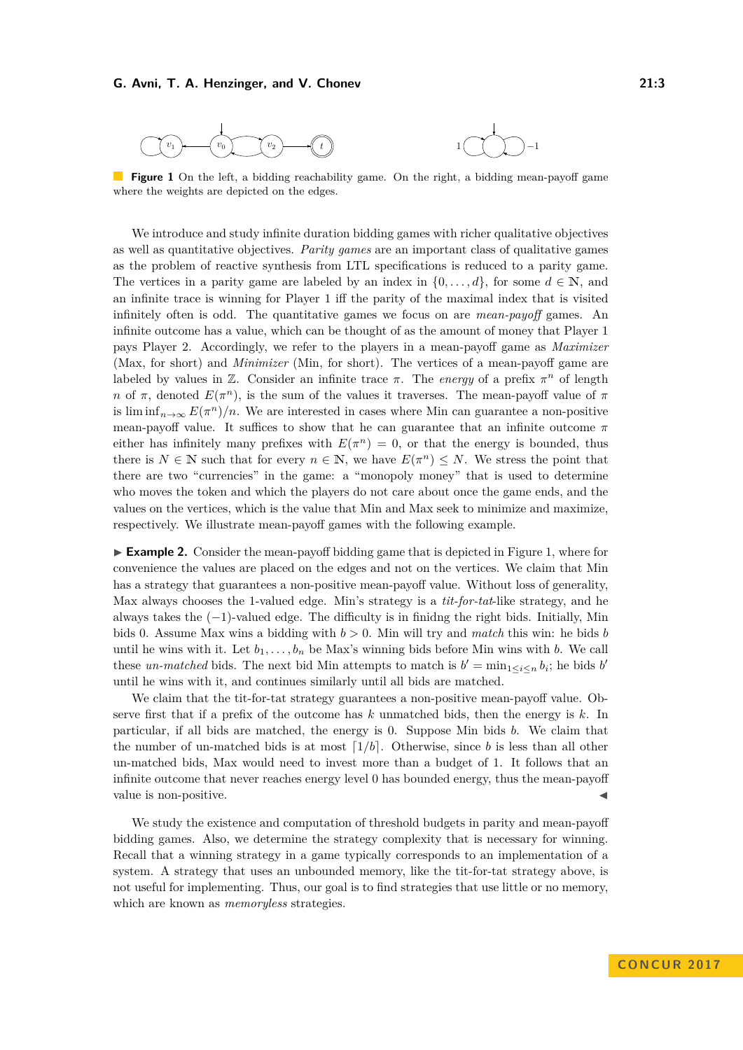<span id="page-2-0"></span>

**Figure 1** On the left, a bidding reachability game. On the right, a bidding mean-payoff game where the weights are depicted on the edges.

We introduce and study infinite duration bidding games with richer qualitative objectives as well as quantitative objectives. *Parity games* are an important class of qualitative games as the problem of reactive synthesis from LTL specifications is reduced to a parity game. The vertices in a parity game are labeled by an index in  $\{0, \ldots, d\}$ , for some  $d \in \mathbb{N}$ , and an infinite trace is winning for Player 1 iff the parity of the maximal index that is visited infinitely often is odd. The quantitative games we focus on are *mean-payoff* games. An infinite outcome has a value, which can be thought of as the amount of money that Player 1 pays Player 2. Accordingly, we refer to the players in a mean-payoff game as *Maximizer* (Max, for short) and *Minimizer* (Min, for short). The vertices of a mean-payoff game are labeled by values in  $\mathbb{Z}$ . Consider an infinite trace  $\pi$ . The *energy* of a prefix  $\pi^n$  of length *n* of  $\pi$ , denoted  $E(\pi^n)$ , is the sum of the values it traverses. The mean-payoff value of  $\pi$ is lim  $\inf_{n\to\infty} E(\pi^n)/n$ . We are interested in cases where Min can guarantee a non-positive mean-payoff value. It suffices to show that he can guarantee that an infinite outcome  $\pi$ either has infinitely many prefixes with  $E(\pi^n) = 0$ , or that the energy is bounded, thus there is  $N \in \mathbb{N}$  such that for every  $n \in \mathbb{N}$ , we have  $E(\pi^n) \leq N$ . We stress the point that there are two "currencies" in the game: a "monopoly money" that is used to determine who moves the token and which the players do not care about once the game ends, and the values on the vertices, which is the value that Min and Max seek to minimize and maximize, respectively. We illustrate mean-payoff games with the following example.

► **Example 2.** Consider the mean-payoff bidding game that is depicted in Figure [1,](#page-2-0) where for convenience the values are placed on the edges and not on the vertices. We claim that Min has a strategy that guarantees a non-positive mean-payoff value. Without loss of generality, Max always chooses the 1-valued edge. Min's strategy is a *tit-for-tat*-like strategy, and he always takes the (−1)-valued edge. The difficulty is in finidng the right bids. Initially, Min bids 0. Assume Max wins a bidding with *b >* 0. Min will try and *match* this win: he bids *b* until he wins with it. Let  $b_1, \ldots, b_n$  be Max's winning bids before Min wins with *b*. We call these *un-matched* bids. The next bid Min attempts to match is  $b' = \min_{1 \leq i \leq n} b_i$ ; he bids *b*<sup>*i*</sup> until he wins with it, and continues similarly until all bids are matched.

We claim that the tit-for-tat strategy guarantees a non-positive mean-payoff value. Observe first that if a prefix of the outcome has *k* unmatched bids, then the energy is *k*. In particular, if all bids are matched, the energy is 0. Suppose Min bids *b*. We claim that the number of un-matched bids is at most  $\lceil 1/b \rceil$ . Otherwise, since *b* is less than all other un-matched bids, Max would need to invest more than a budget of 1. It follows that an infinite outcome that never reaches energy level 0 has bounded energy, thus the mean-payoff value is non-positive.

We study the existence and computation of threshold budgets in parity and mean-payoff bidding games. Also, we determine the strategy complexity that is necessary for winning. Recall that a winning strategy in a game typically corresponds to an implementation of a system. A strategy that uses an unbounded memory, like the tit-for-tat strategy above, is not useful for implementing. Thus, our goal is to find strategies that use little or no memory, which are known as *memoryless* strategies.

**CON C U R 2 0 1 7**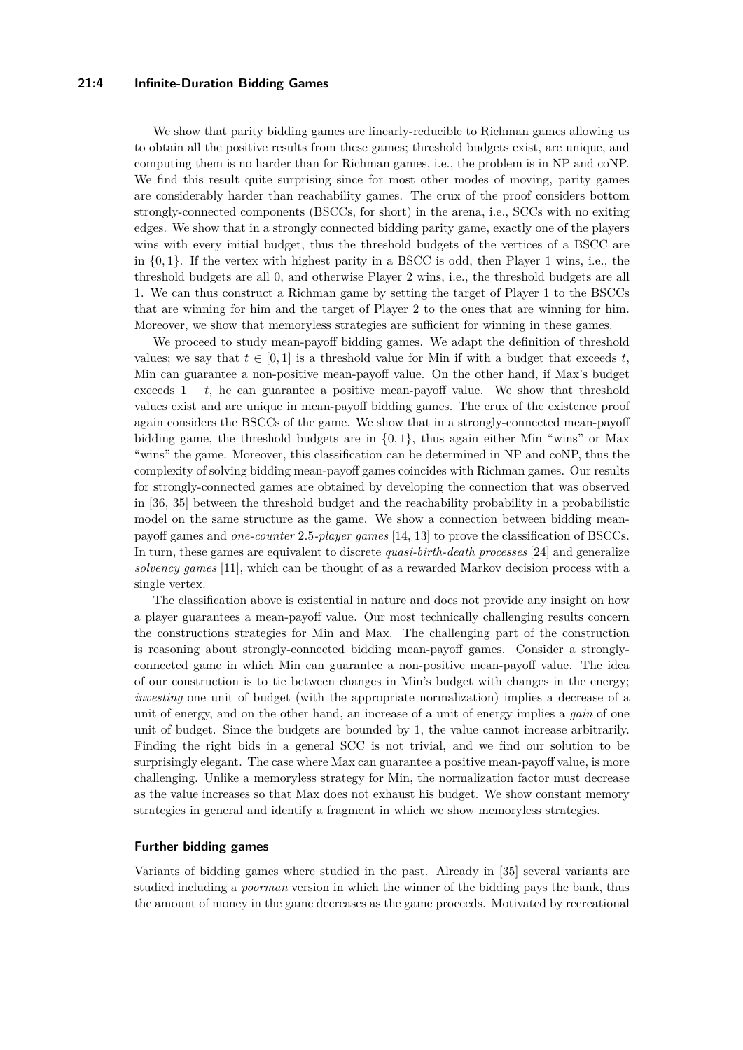### **21:4 Infinite-Duration Bidding Games**

We show that parity bidding games are linearly-reducible to Richman games allowing us to obtain all the positive results from these games; threshold budgets exist, are unique, and computing them is no harder than for Richman games, i.e., the problem is in NP and coNP. We find this result quite surprising since for most other modes of moving, parity games are considerably harder than reachability games. The crux of the proof considers bottom strongly-connected components (BSCCs, for short) in the arena, i.e., SCCs with no exiting edges. We show that in a strongly connected bidding parity game, exactly one of the players wins with every initial budget, thus the threshold budgets of the vertices of a BSCC are in {0*,* 1}. If the vertex with highest parity in a BSCC is odd, then Player 1 wins, i.e., the threshold budgets are all 0, and otherwise Player 2 wins, i.e., the threshold budgets are all 1. We can thus construct a Richman game by setting the target of Player 1 to the BSCCs that are winning for him and the target of Player 2 to the ones that are winning for him. Moreover, we show that memoryless strategies are sufficient for winning in these games.

We proceed to study mean-payoff bidding games. We adapt the definition of threshold values; we say that  $t \in [0, 1]$  is a threshold value for Min if with a budget that exceeds  $t$ , Min can guarantee a non-positive mean-payoff value. On the other hand, if Max's budget exceeds  $1 - t$ , he can guarantee a positive mean-payoff value. We show that threshold values exist and are unique in mean-payoff bidding games. The crux of the existence proof again considers the BSCCs of the game. We show that in a strongly-connected mean-payoff bidding game, the threshold budgets are in {0*,* 1}, thus again either Min "wins" or Max "wins" the game. Moreover, this classification can be determined in NP and coNP, thus the complexity of solving bidding mean-payoff games coincides with Richman games. Our results for strongly-connected games are obtained by developing the connection that was observed in [\[36,](#page-16-0) [35\]](#page-16-1) between the threshold budget and the reachability probability in a probabilistic model on the same structure as the game. We show a connection between bidding meanpayoff games and *one-counter* 2*.*5*-player games* [\[14,](#page-15-2) [13\]](#page-15-3) to prove the classification of BSCCs. In turn, these games are equivalent to discrete *quasi-birth-death processes* [\[24\]](#page-16-10) and generalize *solvency games* [\[11\]](#page-15-4), which can be thought of as a rewarded Markov decision process with a single vertex.

The classification above is existential in nature and does not provide any insight on how a player guarantees a mean-payoff value. Our most technically challenging results concern the constructions strategies for Min and Max. The challenging part of the construction is reasoning about strongly-connected bidding mean-payoff games. Consider a stronglyconnected game in which Min can guarantee a non-positive mean-payoff value. The idea of our construction is to tie between changes in Min's budget with changes in the energy; *investing* one unit of budget (with the appropriate normalization) implies a decrease of a unit of energy, and on the other hand, an increase of a unit of energy implies a *gain* of one unit of budget. Since the budgets are bounded by 1, the value cannot increase arbitrarily. Finding the right bids in a general SCC is not trivial, and we find our solution to be surprisingly elegant. The case where Max can guarantee a positive mean-payoff value, is more challenging. Unlike a memoryless strategy for Min, the normalization factor must decrease as the value increases so that Max does not exhaust his budget. We show constant memory strategies in general and identify a fragment in which we show memoryless strategies.

### **Further bidding games**

Variants of bidding games where studied in the past. Already in [\[35\]](#page-16-1) several variants are studied including a *poorman* version in which the winner of the bidding pays the bank, thus the amount of money in the game decreases as the game proceeds. Motivated by recreational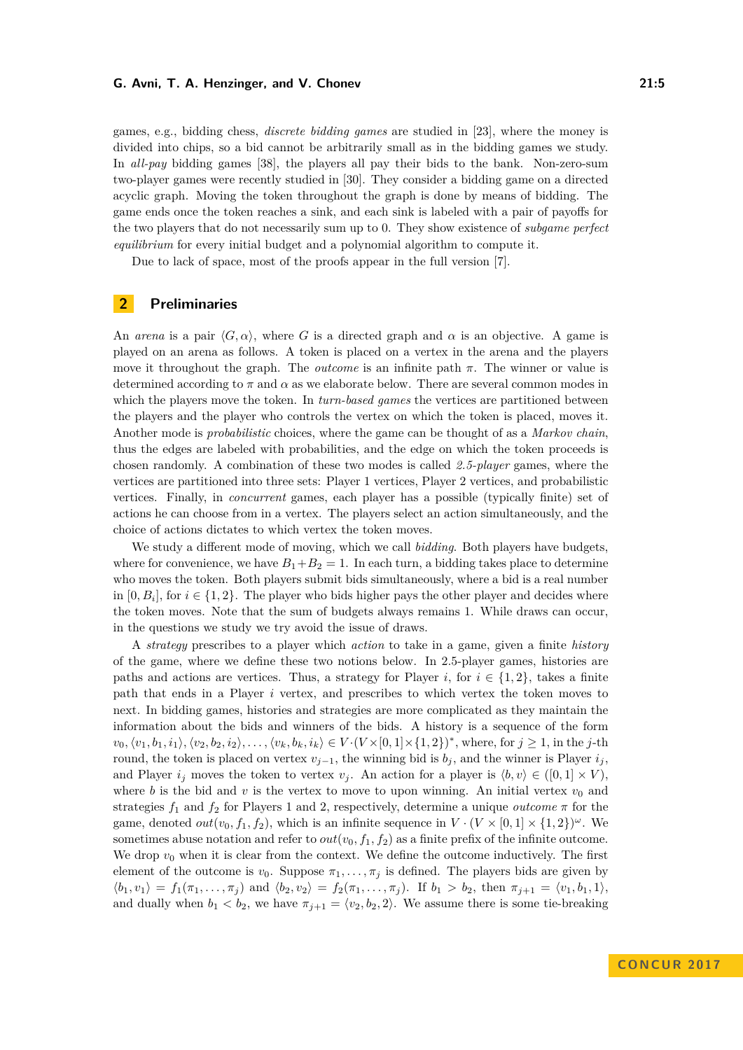games, e.g., bidding chess, *discrete bidding games* are studied in [\[23\]](#page-16-11), where the money is divided into chips, so a bid cannot be arbitrarily small as in the bidding games we study. In *all-pay* bidding games [\[38\]](#page-16-12), the players all pay their bids to the bank. Non-zero-sum two-player games were recently studied in [\[30\]](#page-16-13). They consider a bidding game on a directed acyclic graph. Moving the token throughout the graph is done by means of bidding. The game ends once the token reaches a sink, and each sink is labeled with a pair of payoffs for the two players that do not necessarily sum up to 0. They show existence of *subgame perfect equilibrium* for every initial budget and a polynomial algorithm to compute it.

Due to lack of space, most of the proofs appear in the full version [\[7\]](#page-15-5).

### **2 Preliminaries**

An *arena* is a pair  $\langle G, \alpha \rangle$ , where *G* is a directed graph and  $\alpha$  is an objective. A game is played on an arena as follows. A token is placed on a vertex in the arena and the players move it throughout the graph. The *outcome* is an infinite path *π*. The winner or value is determined according to  $\pi$  and  $\alpha$  as we elaborate below. There are several common modes in which the players move the token. In *turn-based games* the vertices are partitioned between the players and the player who controls the vertex on which the token is placed, moves it. Another mode is *probabilistic* choices, where the game can be thought of as a *Markov chain*, thus the edges are labeled with probabilities, and the edge on which the token proceeds is chosen randomly. A combination of these two modes is called *2.5-player* games, where the vertices are partitioned into three sets: Player 1 vertices, Player 2 vertices, and probabilistic vertices. Finally, in *concurrent* games, each player has a possible (typically finite) set of actions he can choose from in a vertex. The players select an action simultaneously, and the choice of actions dictates to which vertex the token moves.

We study a different mode of moving, which we call *bidding*. Both players have budgets, where for convenience, we have  $B_1+B_2=1$ . In each turn, a bidding takes place to determine who moves the token. Both players submit bids simultaneously, where a bid is a real number in  $[0, B_i]$ , for  $i \in \{1, 2\}$ . The player who bids higher pays the other player and decides where the token moves. Note that the sum of budgets always remains 1. While draws can occur, in the questions we study we try avoid the issue of draws.

A *strategy* prescribes to a player which *action* to take in a game, given a finite *history* of the game, where we define these two notions below. In 2*.*5-player games, histories are paths and actions are vertices. Thus, a strategy for Player *i*, for  $i \in \{1, 2\}$ , takes a finite path that ends in a Player *i* vertex, and prescribes to which vertex the token moves to next. In bidding games, histories and strategies are more complicated as they maintain the information about the bids and winners of the bids. A history is a sequence of the form  $v_0, \langle v_1, b_1, i_1 \rangle, \langle v_2, b_2, i_2 \rangle, \ldots, \langle v_k, b_k, i_k \rangle \in V \cdot (V \times [0, 1] \times \{1, 2\})^*$ , where, for  $j \geq 1$ , in the j-th round, the token is placed on vertex  $v_{j-1}$ , the winning bid is  $b_j$ , and the winner is Player  $i_j$ , and Player  $i_j$  moves the token to vertex  $v_j$ . An action for a player is  $\langle b, v \rangle \in ([0, 1] \times V)$ , where *b* is the bid and *v* is the vertex to move to upon winning. An initial vertex  $v_0$  and strategies  $f_1$  and  $f_2$  for Players 1 and 2, respectively, determine a unique *outcome*  $\pi$  for the game, denoted  $out(v_0, f_1, f_2)$ , which is an infinite sequence in  $V \cdot (V \times [0, 1] \times \{1, 2\})^{\omega}$ . We sometimes abuse notation and refer to  $out(v_0, f_1, f_2)$  as a finite prefix of the infinite outcome. We drop  $v_0$  when it is clear from the context. We define the outcome inductively. The first element of the outcome is  $v_0$ . Suppose  $\pi_1, \ldots, \pi_j$  is defined. The players bids are given by  $\langle b_1, v_1 \rangle = f_1(\pi_1, \ldots, \pi_j)$  and  $\langle b_2, v_2 \rangle = f_2(\pi_1, \ldots, \pi_j)$ . If  $b_1 > b_2$ , then  $\pi_{j+1} = \langle v_1, b_1, 1 \rangle$ , and dually when  $b_1 < b_2$ , we have  $\pi_{j+1} = \langle v_2, b_2, 2 \rangle$ . We assume there is some tie-breaking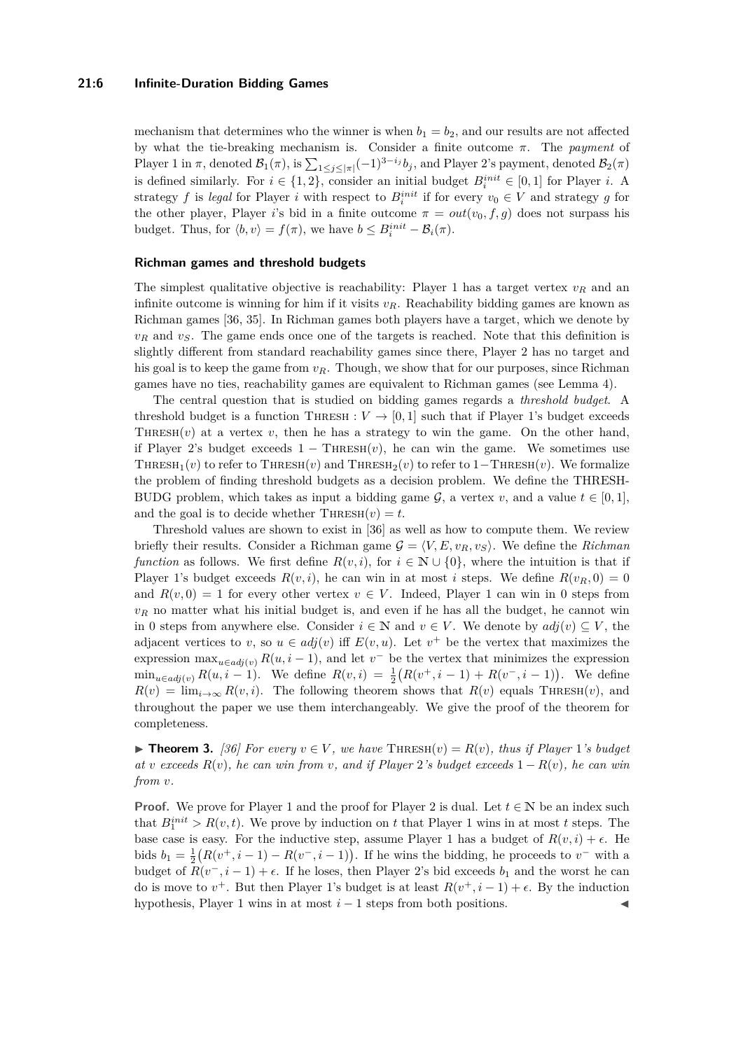### **21:6 Infinite-Duration Bidding Games**

mechanism that determines who the winner is when  $b_1 = b_2$ , and our results are not affected by what the tie-breaking mechanism is. Consider a finite outcome *π*. The *payment* of Player 1 in  $\pi$ , denoted  $\mathcal{B}_1(\pi)$ , is  $\sum_{1 \leq j \leq |\pi|} (-1)^{3-i_j} b_j$ , and Player 2's payment, denoted  $\mathcal{B}_2(\pi)$ is defined similarly. For  $i \in \{1, 2\}$ , consider an initial budget  $B_i^{init} \in [0, 1]$  for Player *i*. A strategy *f* is *legal* for Player *i* with respect to  $B_i^{init}$  if for every  $v_0 \in V$  and strategy *g* for the other player, Player *i*'s bid in a finite outcome  $\pi = out(v_0, f, g)$  does not surpass his budget. Thus, for  $\langle b, v \rangle = f(\pi)$ , we have  $b \leq B_i^{init} - B_i(\pi)$ .

### **Richman games and threshold budgets**

The simplest qualitative objective is reachability: Player 1 has a target vertex *v<sup>R</sup>* and an infinite outcome is winning for him if it visits  $v_R$ . Reachability bidding games are known as Richman games [\[36,](#page-16-0) [35\]](#page-16-1). In Richman games both players have a target, which we denote by  $v_R$  and  $v_S$ . The game ends once one of the targets is reached. Note that this definition is slightly different from standard reachability games since there, Player 2 has no target and his goal is to keep the game from  $v_R$ . Though, we show that for our purposes, since Richman games have no ties, reachability games are equivalent to Richman games (see Lemma [4\)](#page-6-0).

The central question that is studied on bidding games regards a *threshold budget*. A threshold budget is a function THRESH :  $V \rightarrow [0,1]$  such that if Player 1's budget exceeds THRESH $(v)$  at a vertex  $v$ , then he has a strategy to win the game. On the other hand, if Player 2's budget exceeds  $1 - \text{THRESH}(v)$ , he can win the game. We sometimes use THRESH<sub>1</sub>(*v*) to refer to THRESH(*v*) and THRESH<sub>2</sub>(*v*) to refer to 1–THRESH(*v*). We formalize the problem of finding threshold budgets as a decision problem. We define the THRESH-BUDG problem, which takes as input a bidding game  $\mathcal{G}$ , a vertex *v*, and a value  $t \in [0, 1]$ , and the goal is to decide whether  $\text{THRESH}(v) = t$ .

Threshold values are shown to exist in [\[36\]](#page-16-0) as well as how to compute them. We review briefly their results. Consider a Richman game  $G = \langle V, E, v_R, v_S \rangle$ . We define the *Richman function* as follows. We first define  $R(v, i)$ , for  $i \in \mathbb{N} \cup \{0\}$ , where the intuition is that if Player 1's budget exceeds  $R(v, i)$ , he can win in at most *i* steps. We define  $R(v_R, 0) = 0$ and  $R(v, 0) = 1$  for every other vertex  $v \in V$ . Indeed, Player 1 can win in 0 steps from  $v_R$  no matter what his initial budget is, and even if he has all the budget, he cannot win in 0 steps from anywhere else. Consider  $i \in \mathbb{N}$  and  $v \in V$ . We denote by  $adj(v) \subseteq V$ , the adjacent vertices to *v*, so  $u \in adj(v)$  iff  $E(v, u)$ . Let  $v^+$  be the vertex that maximizes the expression  $\max_{u \in adj(v)} R(u, i-1)$ , and let  $v^-$  be the vertex that minimizes the expression  $\min_{u \in \text{adj}(v)} R(u, i-1)$ . We define  $R(v, i) = \frac{1}{2}(R(v^+, i-1) + R(v^-, i-1))$ . We define  $R(v) = \lim_{i \to \infty} R(v, i)$ . The following theorem shows that  $R(v)$  equals THRESH(*v*), and throughout the paper we use them interchangeably. We give the proof of the theorem for completeness.

<span id="page-5-0"></span>▶ **Theorem 3.** [\[36\]](#page-16-0) For every  $v \in V$ , we have THRESH( $v$ ) =  $R(v)$ , thus if Player 1*'s budget at v exceeds*  $R(v)$ *, he can win from v, and if Player* 2*'s budget exceeds*  $1 - R(v)$ *, he can win from v.*

**Proof.** We prove for Player 1 and the proof for Player 2 is dual. Let  $t \in \mathbb{N}$  be an index such that  $B_1^{init} > R(v, t)$ . We prove by induction on *t* that Player 1 wins in at most *t* steps. The base case is easy. For the inductive step, assume Player 1 has a budget of  $R(v, i) + \epsilon$ . He bids  $b_1 = \frac{1}{2}(R(v^+, i-1) - R(v^-, i-1))$ . If he wins the bidding, he proceeds to  $v^-$  with a budget of  $R(v^-, i-1) + \epsilon$ . If he loses, then Player 2's bid exceeds  $b_1$  and the worst he can do is move to  $v^+$ . But then Player 1's budget is at least  $R(v^+, i - 1) + \epsilon$ . By the induction hypothesis, Player 1 wins in at most  $i - 1$  steps from both positions.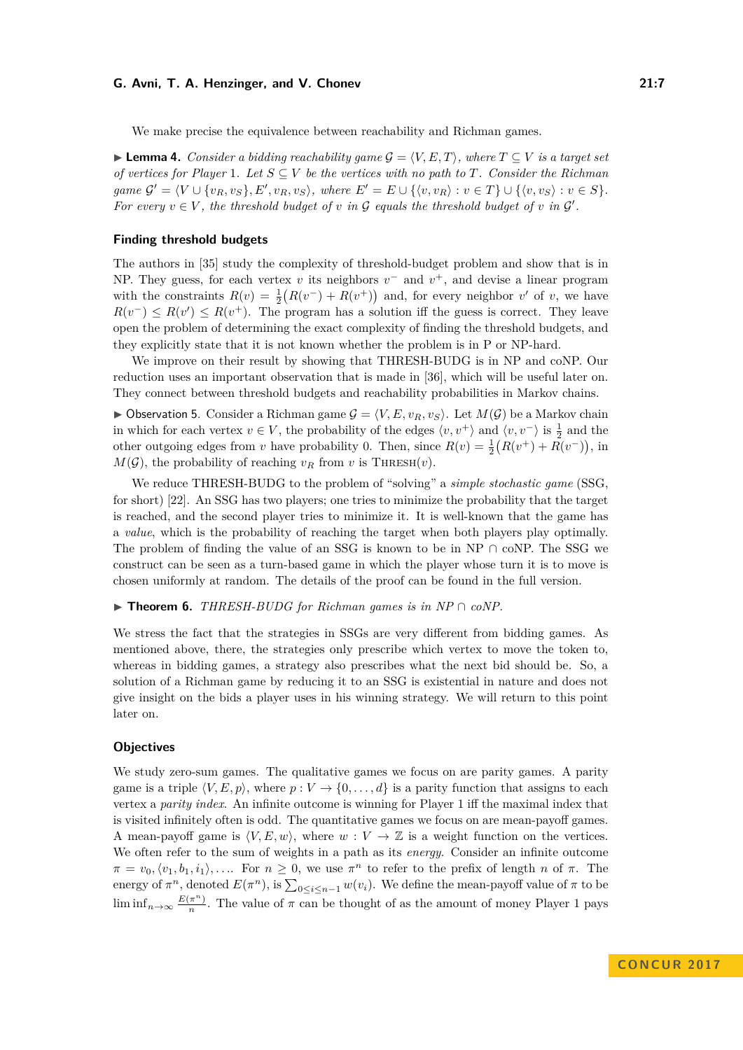We make precise the equivalence between reachability and Richman games.

<span id="page-6-0"></span>**► Lemma 4.** *Consider a bidding reachability game*  $\mathcal{G} = \langle V, E, T \rangle$ *, where*  $T \subseteq V$  *is a target set of vertices for Player* 1*. Let*  $S \subseteq V$  *be the vertices with no path to T. Consider the Richman* game  $\mathcal{G}' = \langle V \cup \{v_R, v_S\}, E', v_R, v_S \rangle$ , where  $E' = E \cup \{\langle v, v_R \rangle : v \in T\} \cup \{\langle v, v_S \rangle : v \in S\}.$ *For every*  $v \in V$ , the threshold budget of *v* in  $G$  equals the threshold budget of *v* in  $G'$ .

#### **Finding threshold budgets**

The authors in [\[35\]](#page-16-1) study the complexity of threshold-budget problem and show that is in NP. They guess, for each vertex *v* its neighbors  $v^-$  and  $v^+$ , and devise a linear program with the constraints  $R(v) = \frac{1}{2}(R(v^{-}) + R(v^{+}))$  and, for every neighbor *v'* of *v*, we have  $R(v^-) \leq R(v') \leq R(v^+)$ . The program has a solution iff the guess is correct. They leave open the problem of determining the exact complexity of finding the threshold budgets, and they explicitly state that it is not known whether the problem is in P or NP-hard.

We improve on their result by showing that THRESH-BUDG is in NP and coNP. Our reduction uses an important observation that is made in [\[36\]](#page-16-0), which will be useful later on. They connect between threshold budgets and reachability probabilities in Markov chains.

<span id="page-6-1"></span> $\triangleright$  Observation 5. Consider a Richman game  $\mathcal{G} = \langle V, E, v_R, v_S \rangle$ . Let  $M(\mathcal{G})$  be a Markov chain in which for each vertex  $v \in V$ , the probability of the edges  $\langle v, v^+\rangle$  and  $\langle v, v^-\rangle$  is  $\frac{1}{2}$  and the other outgoing edges from *v* have probability 0. Then, since  $R(v) = \frac{1}{2}(R(v^{+}) + R(v^{-}))$ , in  $M(\mathcal{G})$ , the probability of reaching  $v_R$  from *v* is THRESH(*v*).

We reduce THRESH-BUDG to the problem of "solving" a *simple stochastic game* (SSG, for short) [\[22\]](#page-16-14). An SSG has two players; one tries to minimize the probability that the target is reached, and the second player tries to minimize it. It is well-known that the game has a *value*, which is the probability of reaching the target when both players play optimally. The problem of finding the value of an SSG is known to be in NP  $\cap$  coNP. The SSG we construct can be seen as a turn-based game in which the player whose turn it is to move is chosen uniformly at random. The details of the proof can be found in the full version.

<span id="page-6-2"></span>I **Theorem 6.** *THRESH-BUDG for Richman games is in NP* ∩ *coNP.*

We stress the fact that the strategies in SSGs are very different from bidding games. As mentioned above, there, the strategies only prescribe which vertex to move the token to, whereas in bidding games, a strategy also prescribes what the next bid should be. So, a solution of a Richman game by reducing it to an SSG is existential in nature and does not give insight on the bids a player uses in his winning strategy. We will return to this point later on.

#### **Objectives**

We study zero-sum games. The qualitative games we focus on are parity games. A parity game is a triple  $\langle V, E, p \rangle$ , where  $p : V \rightarrow \{0, \ldots, d\}$  is a parity function that assigns to each vertex a *parity index*. An infinite outcome is winning for Player 1 iff the maximal index that is visited infinitely often is odd. The quantitative games we focus on are mean-payoff games. A mean-payoff game is  $\langle V, E, w \rangle$ , where  $w : V \to \mathbb{Z}$  is a weight function on the vertices. We often refer to the sum of weights in a path as its *energy*. Consider an infinite outcome  $\pi = v_0, \langle v_1, b_1, i_1 \rangle, \ldots$  For  $n \geq 0$ , we use  $\pi^n$  to refer to the prefix of length *n* of  $\pi$ . The energy of  $\pi^n$ , denoted  $E(\pi^n)$ , is  $\sum_{0 \le i \le n-1} w(v_i)$ . We define the mean-payoff value of  $\pi$  to be  $\liminf_{n\to\infty}\frac{E(\pi^n)}{n}$  $\frac{\pi}{n}$ . The value of  $\pi$  can be thought of as the amount of money Player 1 pays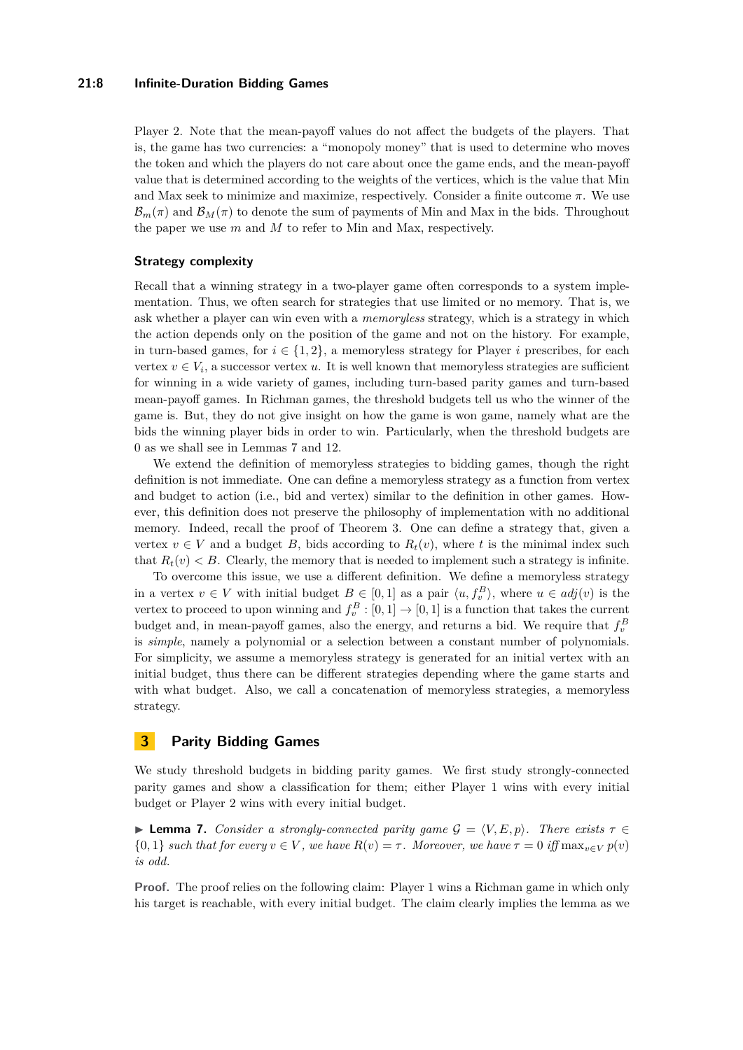### **21:8 Infinite-Duration Bidding Games**

Player 2. Note that the mean-payoff values do not affect the budgets of the players. That is, the game has two currencies: a "monopoly money" that is used to determine who moves the token and which the players do not care about once the game ends, and the mean-payoff value that is determined according to the weights of the vertices, which is the value that Min and Max seek to minimize and maximize, respectively. Consider a finite outcome *π*. We use  $\mathcal{B}_m(\pi)$  and  $\mathcal{B}_M(\pi)$  to denote the sum of payments of Min and Max in the bids. Throughout the paper we use *m* and *M* to refer to Min and Max, respectively.

### **Strategy complexity**

Recall that a winning strategy in a two-player game often corresponds to a system implementation. Thus, we often search for strategies that use limited or no memory. That is, we ask whether a player can win even with a *memoryless* strategy, which is a strategy in which the action depends only on the position of the game and not on the history. For example, in turn-based games, for  $i \in \{1, 2\}$ , a memoryless strategy for Player *i* prescribes, for each vertex  $v \in V_i$ , a successor vertex *u*. It is well known that memoryless strategies are sufficient for winning in a wide variety of games, including turn-based parity games and turn-based mean-payoff games. In Richman games, the threshold budgets tell us who the winner of the game is. But, they do not give insight on how the game is won game, namely what are the bids the winning player bids in order to win. Particularly, when the threshold budgets are 0 as we shall see in Lemmas [7](#page-7-0) and [12.](#page-9-0)

We extend the definition of memoryless strategies to bidding games, though the right definition is not immediate. One can define a memoryless strategy as a function from vertex and budget to action (i.e., bid and vertex) similar to the definition in other games. However, this definition does not preserve the philosophy of implementation with no additional memory. Indeed, recall the proof of Theorem [3.](#page-5-0) One can define a strategy that, given a vertex  $v \in V$  and a budget *B*, bids according to  $R_t(v)$ , where *t* is the minimal index such that  $R_t(v) < B$ . Clearly, the memory that is needed to implement such a strategy is infinite.

To overcome this issue, we use a different definition. We define a memoryless strategy in a vertex  $v \in V$  with initial budget  $B \in [0,1]$  as a pair  $\langle u, f_v^B \rangle$ , where  $u \in adj(v)$  is the vertex to proceed to upon winning and  $f_v^B : [0,1] \to [0,1]$  is a function that takes the current budget and, in mean-payoff games, also the energy, and returns a bid. We require that  $f_v^B$ is *simple*, namely a polynomial or a selection between a constant number of polynomials. For simplicity, we assume a memoryless strategy is generated for an initial vertex with an initial budget, thus there can be different strategies depending where the game starts and with what budget. Also, we call a concatenation of memoryless strategies, a memoryless strategy.

### **3 Parity Bidding Games**

We study threshold budgets in bidding parity games. We first study strongly-connected parity games and show a classification for them; either Player 1 wins with every initial budget or Player 2 wins with every initial budget.

<span id="page-7-0"></span>**I Lemma 7.** *Consider a strongly-connected parity game*  $\mathcal{G} = \langle V, E, p \rangle$ *. There exists*  $\tau \in$  $\{0, 1\}$  *such that for every*  $v \in V$ , we have  $R(v) = \tau$ . Moreover, we have  $\tau = 0$  iff  $\max_{v \in V} p(v)$ *is odd.*

**Proof.** The proof relies on the following claim: Player 1 wins a Richman game in which only his target is reachable, with every initial budget. The claim clearly implies the lemma as we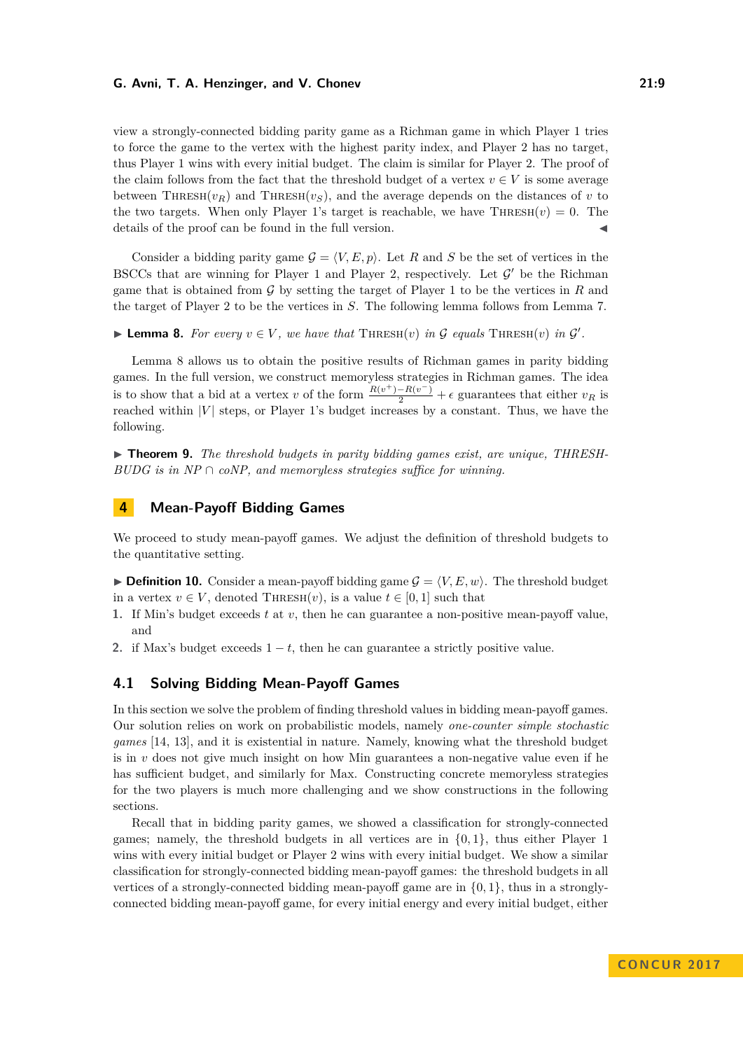view a strongly-connected bidding parity game as a Richman game in which Player 1 tries to force the game to the vertex with the highest parity index, and Player 2 has no target, thus Player 1 wins with every initial budget. The claim is similar for Player 2. The proof of the claim follows from the fact that the threshold budget of a vertex  $v \in V$  is some average between THRESH( $v_R$ ) and THRESH( $v_S$ ), and the average depends on the distances of *v* to the two targets. When only Player 1's target is reachable, we have  $\text{THRESH}(v) = 0$ . The details of the proof can be found in the full version.

Consider a bidding parity game  $\mathcal{G} = \langle V, E, p \rangle$ . Let *R* and *S* be the set of vertices in the BSCCs that are winning for Player 1 and Player 2, respectively. Let  $\mathcal{G}'$  be the Richman game that is obtained from G by setting the target of Player 1 to be the vertices in *R* and the target of Player 2 to be the vertices in *S*. The following lemma follows from Lemma [7.](#page-7-0)

<span id="page-8-0"></span>▶ **Lemma 8.** *For every*  $v \in V$ , *we have that*  $\text{THRESH}(v)$  *in*  $\mathcal G$  *equals*  $\text{THRESH}(v)$  *in*  $\mathcal G'$ *.* 

Lemma [8](#page-8-0) allows us to obtain the positive results of Richman games in parity bidding games. In the full version, we construct memoryless strategies in Richman games. The idea is to show that a bid at a vertex *v* of the form  $\frac{R(v^+)-R(v^-)}{2}$  +  $\epsilon$  guarantees that either  $v_R$  is reached within  $|V|$  steps, or Player 1's budget increases by a constant. Thus, we have the following.

<span id="page-8-1"></span>► **Theorem 9.** The threshold budgets in parity bidding games exist, are unique, THRESH-*BUDG is in NP* ∩ *coNP, and memoryless strategies suffice for winning.*

### **4 Mean-Payoff Bidding Games**

We proceed to study mean-payoff games. We adjust the definition of threshold budgets to the quantitative setting.

**Definition 10.** Consider a mean-payoff bidding game  $G = \langle V, E, w \rangle$ . The threshold budget in a vertex  $v \in V$ , denoted THRESH $(v)$ , is a value  $t \in [0, 1]$  such that

- **1.** If Min's budget exceeds *t* at *v*, then he can guarantee a non-positive mean-payoff value, and
- **2.** if Max's budget exceeds  $1 t$ , then he can guarantee a strictly positive value.

### **4.1 Solving Bidding Mean-Payoff Games**

In this section we solve the problem of finding threshold values in bidding mean-payoff games. Our solution relies on work on probabilistic models, namely *one-counter simple stochastic games* [\[14,](#page-15-2) [13\]](#page-15-3), and it is existential in nature. Namely, knowing what the threshold budget is in *v* does not give much insight on how Min guarantees a non-negative value even if he has sufficient budget, and similarly for Max. Constructing concrete memoryless strategies for the two players is much more challenging and we show constructions in the following sections.

Recall that in bidding parity games, we showed a classification for strongly-connected games; namely, the threshold budgets in all vertices are in {0*,* 1}, thus either Player 1 wins with every initial budget or Player 2 wins with every initial budget. We show a similar classification for strongly-connected bidding mean-payoff games: the threshold budgets in all vertices of a strongly-connected bidding mean-payoff game are in {0*,* 1}, thus in a stronglyconnected bidding mean-payoff game, for every initial energy and every initial budget, either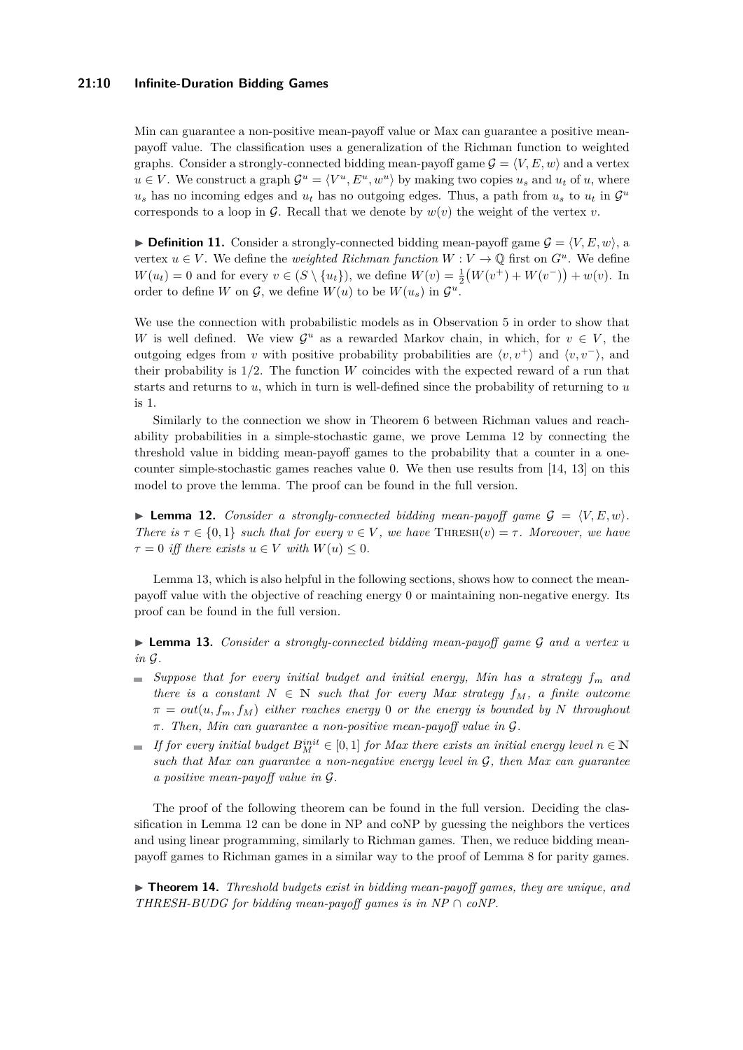### **21:10 Infinite-Duration Bidding Games**

Min can guarantee a non-positive mean-payoff value or Max can guarantee a positive meanpayoff value. The classification uses a generalization of the Richman function to weighted graphs. Consider a strongly-connected bidding mean-payoff game  $\mathcal{G} = \langle V, E, w \rangle$  and a vertex  $u \in V$ . We construct a graph  $\mathcal{G}^u = \langle V^u, E^u, w^u \rangle$  by making two copies  $u_s$  and  $u_t$  of  $u$ , where  $u_s$  has no incoming edges and  $u_t$  has no outgoing edges. Thus, a path from  $u_s$  to  $u_t$  in  $\mathcal{G}^u$ corresponds to a loop in  $\mathcal{G}$ . Recall that we denote by  $w(v)$  the weight of the vertex *v*.

<span id="page-9-2"></span>**Definition 11.** Consider a strongly-connected bidding mean-payoff game  $\mathcal{G} = \langle V, E, w \rangle$ , a vertex  $u \in V$ . We define the *weighted Richman function*  $W: V \to \mathbb{Q}$  first on  $G^u$ . We define  $W(u_t) = 0$  and for every  $v \in (S \setminus \{u_t\})$ , we define  $W(v) = \frac{1}{2}(W(v^+) + W(v^-)) + w(v)$ . In order to define *W* on  $\mathcal{G}$ , we define  $W(u)$  to be  $W(u_s)$  in  $\mathcal{G}^u$ .

We use the connection with probabilistic models as in Observation [5](#page-6-1) in order to show that *W* is well defined. We view  $\mathcal{G}^u$  as a rewarded Markov chain, in which, for  $v \in V$ , the outgoing edges from *v* with positive probability probabilities are  $\langle v, v^+ \rangle$  and  $\langle v, v^- \rangle$ , and their probability is 1*/*2. The function *W* coincides with the expected reward of a run that starts and returns to *u*, which in turn is well-defined since the probability of returning to *u* is 1.

Similarly to the connection we show in Theorem [6](#page-6-2) between Richman values and reachability probabilities in a simple-stochastic game, we prove Lemma [12](#page-9-0) by connecting the threshold value in bidding mean-payoff games to the probability that a counter in a onecounter simple-stochastic games reaches value 0. We then use results from [\[14,](#page-15-2) [13\]](#page-15-3) on this model to prove the lemma. The proof can be found in the full version.

<span id="page-9-0"></span>**I Lemma 12.** *Consider a strongly-connected bidding mean-payoff game*  $G = \langle V, E, w \rangle$ *. There is*  $\tau \in \{0, 1\}$  *such that for every*  $v \in V$ , we have THRESH $(v) = \tau$ . Moreover, we have  $\tau = 0$  *iff there exists*  $u \in V$  *with*  $W(u) \leq 0$ .

Lemma [13,](#page-9-1) which is also helpful in the following sections, shows how to connect the meanpayoff value with the objective of reaching energy 0 or maintaining non-negative energy. Its proof can be found in the full version.

<span id="page-9-1"></span>I **Lemma 13.** *Consider a strongly-connected bidding mean-payoff game* G *and a vertex u in* G*.*

- $\blacksquare$  *Suppose that for every initial budget and initial energy, Min has a strategy*  $f_m$  and *there is a constant*  $N \in \mathbb{N}$  *such that for every Max strategy*  $f_M$ *, a finite outcome*  $\pi = out(u, f_m, f_M)$  *either reaches energy* 0 *or the energy is bounded by N throughout π. Then, Min can guarantee a non-positive mean-payoff value in* G*.*
- *If for every initial budget*  $B_M^{init} \in [0,1]$  *for Max there exists an initial energy level*  $n \in \mathbb{N}$ *such that Max can guarantee a non-negative energy level in* G*, then Max can guarantee a positive mean-payoff value in* G*.*

The proof of the following theorem can be found in the full version. Deciding the classification in Lemma [12](#page-9-0) can be done in NP and coNP by guessing the neighbors the vertices and using linear programming, similarly to Richman games. Then, we reduce bidding meanpayoff games to Richman games in a similar way to the proof of Lemma [8](#page-8-0) for parity games.

► **Theorem 14.** *Threshold budgets exist in bidding mean-payoff games, they are unique, and THRESH-BUDG for bidding mean-payoff games is in NP*  $\cap$  *coNP.*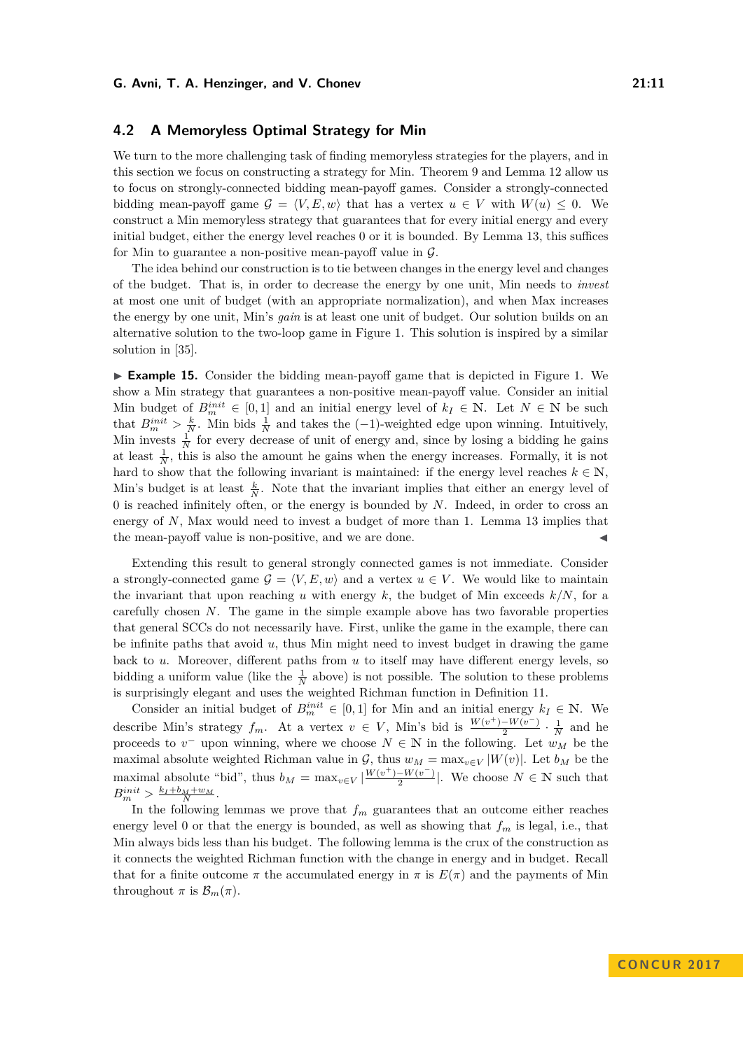### **4.2 A Memoryless Optimal Strategy for Min**

We turn to the more challenging task of finding memoryless strategies for the players, and in this section we focus on constructing a strategy for Min. Theorem [9](#page-8-1) and Lemma [12](#page-9-0) allow us to focus on strongly-connected bidding mean-payoff games. Consider a strongly-connected bidding mean-payoff game  $\mathcal{G} = \langle V, E, w \rangle$  that has a vertex  $u \in V$  with  $W(u) \leq 0$ . We construct a Min memoryless strategy that guarantees that for every initial energy and every initial budget, either the energy level reaches 0 or it is bounded. By Lemma [13,](#page-9-1) this suffices for Min to guarantee a non-positive mean-payoff value in  $\mathcal{G}$ .

The idea behind our construction is to tie between changes in the energy level and changes of the budget. That is, in order to decrease the energy by one unit, Min needs to *invest* at most one unit of budget (with an appropriate normalization), and when Max increases the energy by one unit, Min's *gain* is at least one unit of budget. Our solution builds on an alternative solution to the two-loop game in Figure [1.](#page-2-0) This solution is inspired by a similar solution in [\[35\]](#page-16-1).

► **Example 15.** Consider the bidding mean-payoff game that is depicted in Figure [1.](#page-2-0) We show a Min strategy that guarantees a non-positive mean-payoff value. Consider an initial Min budget of  $B_m^{init} \in [0,1]$  and an initial energy level of  $k_I \in \mathbb{N}$ . Let  $N \in \mathbb{N}$  be such that  $B_m^{init} > \frac{k}{N}$ . Min bids  $\frac{1}{N}$  and takes the  $(-1)$ -weighted edge upon winning. Intuitively, Min invests  $\frac{1}{N}$  for every decrease of unit of energy and, since by losing a bidding he gains at least  $\frac{1}{N}$ , this is also the amount he gains when the energy increases. Formally, it is not hard to show that the following invariant is maintained: if the energy level reaches  $k \in \mathbb{N}$ , Min's budget is at least  $\frac{k}{N}$ . Note that the invariant implies that either an energy level of 0 is reached infinitely often, or the energy is bounded by *N*. Indeed, in order to cross an energy of N, Max would need to invest a budget of more than 1. Lemma [13](#page-9-1) implies that the mean-payoff value is non-positive, and we are done.

Extending this result to general strongly connected games is not immediate. Consider a strongly-connected game  $\mathcal{G} = \langle V, E, w \rangle$  and a vertex  $u \in V$ . We would like to maintain the invariant that upon reaching  $u$  with energy  $k$ , the budget of Min exceeds  $k/N$ , for a carefully chosen *N*. The game in the simple example above has two favorable properties that general SCCs do not necessarily have. First, unlike the game in the example, there can be infinite paths that avoid *u*, thus Min might need to invest budget in drawing the game back to *u*. Moreover, different paths from *u* to itself may have different energy levels, so bidding a uniform value (like the  $\frac{1}{N}$  above) is not possible. The solution to these problems is surprisingly elegant and uses the weighted Richman function in Definition [11.](#page-9-2)

Consider an initial budget of  $B_m^{init} \in [0,1]$  for Min and an initial energy  $k_I \in \mathbb{N}$ . We describe Min's strategy  $f_m$ . At a vertex  $v \in V$ , Min's bid is  $\frac{W(v^+)-W(v^-)}{2}$  $\frac{-W(v^-)}{2} \cdot \frac{1}{N}$  and he proceeds to  $v^-$  upon winning, where we choose  $N \in \mathbb{N}$  in the following. Let  $w_M$  be the maximal absolute weighted Richman value in  $\mathcal{G}$ , thus  $w_M = \max_{v \in V} |W(v)|$ . Let  $b_M$  be the maximal absolute "bid", thus  $b_M = \max_{v \in V} \left| \frac{W(v^+) - W(v^-)}{2} \right|$  $\frac{-W(v^-)}{2}$ . We choose  $N \in \mathbb{N}$  such that  $B_m^{init} > \frac{k_I + b_M + w_M}{N}$ .

In the following lemmas we prove that  $f_m$  guarantees that an outcome either reaches energy level 0 or that the energy is bounded, as well as showing that  $f_m$  is legal, i.e., that Min always bids less than his budget. The following lemma is the crux of the construction as it connects the weighted Richman function with the change in energy and in budget. Recall that for a finite outcome  $\pi$  the accumulated energy in  $\pi$  is  $E(\pi)$  and the payments of Min throughout  $\pi$  is  $\mathcal{B}_m(\pi)$ .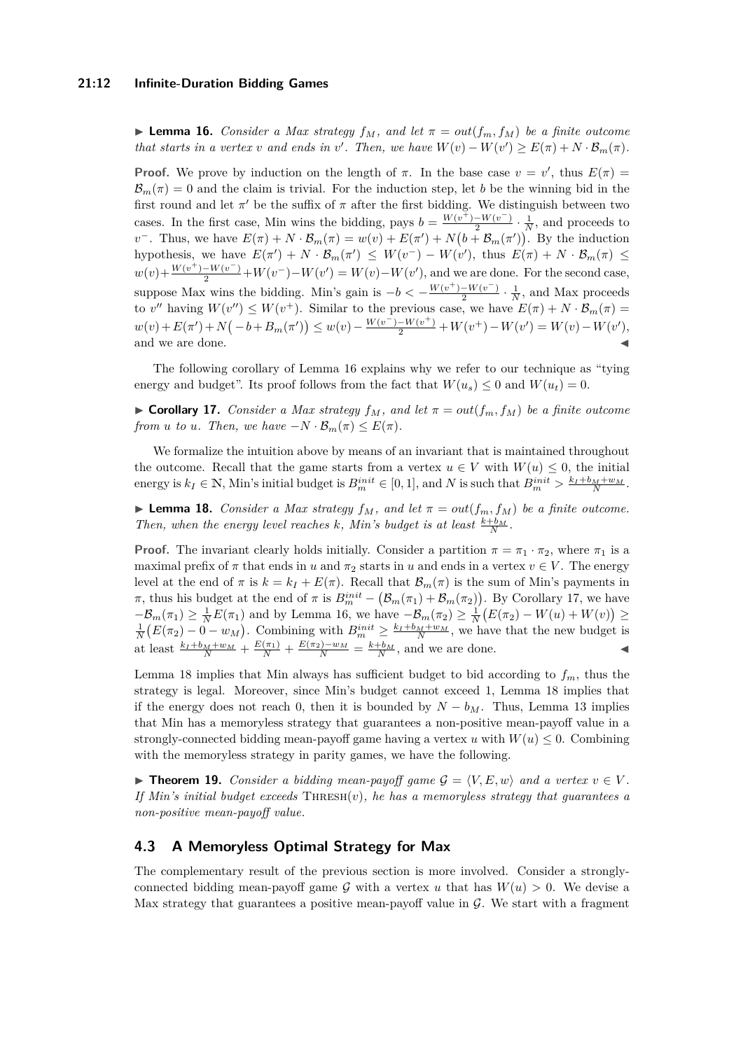### **21:12 Infinite-Duration Bidding Games**

<span id="page-11-0"></span>**I Lemma 16.** *Consider a Max strategy*  $f_M$ *, and let*  $\pi = out(f_m, f_M)$  *be a finite outcome that starts in a vertex v and ends in v*'. Then, we have  $W(v) - W(v') \ge E(\pi) + N \cdot \mathcal{B}_m(\pi)$ .

**Proof.** We prove by induction on the length of  $\pi$ . In the base case  $v = v'$ , thus  $E(\pi) =$  $\mathcal{B}_m(\pi) = 0$  and the claim is trivial. For the induction step, let *b* be the winning bid in the first round and let  $\pi'$  be the suffix of  $\pi$  after the first bidding. We distinguish between two cases. In the first case, Min wins the bidding, pays  $b = \frac{W(v^{+}) - W(v^{-})}{2}$  $\frac{-W(v^-)}{2} \cdot \frac{1}{N}$ , and proceeds to *v*<sup>-</sup>. Thus, we have  $E(\pi) + N \cdot \mathcal{B}_m(\pi) = w(v) + E(\pi') + N(b + \mathcal{B}_m(\pi'))$ . By the induction hypothesis, we have  $E(\pi') + N \cdot \mathcal{B}_m(\pi') \leq W(v^-) - W(v')$ , thus  $E(\pi) + N \cdot \mathcal{B}_m(\pi) \leq$  $w(v) + \frac{W(v^{+}) - W(v^{-})}{2} + W(v^{-}) - W(v') = W(v) - W(v')$ , and we are done. For the second case, suppose Max wins the bidding. Min's gain is  $-b < -\frac{W(v^{+})-W(v^{-})}{2}$  $\frac{-W(v^-)}{2} \cdot \frac{1}{N}$ , and Max proceeds to *v*<sup>''</sup> having  $W(v'') \leq W(v^+)$ . Similar to the previous case, we have  $E(\pi) + N \cdot B_m(\pi) =$  $w(v) + E(\pi') + N(-b + B_m(\pi')) \leq w(v) - \frac{W(v^-) - W(v^+)}{2} + W(v^+) - W(v') = W(v) - W(v'),$ and we are done.

The following corollary of Lemma [16](#page-11-0) explains why we refer to our technique as "tying energy and budget". Its proof follows from the fact that  $W(u_s) \leq 0$  and  $W(u_t) = 0$ .

<span id="page-11-1"></span> $\triangleright$  **Corollary 17.** *Consider a Max strategy*  $f_M$ *, and let*  $\pi = out(f_m, f_M)$  *be a finite outcome from u to u. Then, we have*  $-N \cdot B_m(\pi) \le E(\pi)$ *.* 

We formalize the intuition above by means of an invariant that is maintained throughout the outcome. Recall that the game starts from a vertex  $u \in V$  with  $W(u) \leq 0$ , the initial energy is  $k_I \in \mathbb{N}$ , Min's initial budget is  $B_m^{init} \in [0,1]$ , and N is such that  $B_m^{init} > \frac{k_I + b_M + w_M}{N}$ .

<span id="page-11-2"></span>**If Lemma 18.** *Consider a Max strategy*  $f_M$ *, and let*  $\pi = out(f_m, f_M)$  *be a finite outcome. Then, when the energy level reaches k*, *Min's budget is at least*  $\frac{k+b_M}{N}$ .

**Proof.** The invariant clearly holds initially. Consider a partition  $\pi = \pi_1 \cdot \pi_2$ , where  $\pi_1$  is a maximal prefix of  $\pi$  that ends in *u* and  $\pi_2$  starts in *u* and ends in a vertex  $v \in V$ . The energy level at the end of  $\pi$  is  $k = k_I + E(\pi)$ . Recall that  $\mathcal{B}_m(\pi)$  is the sum of Min's payments in *π*, thus his budget at the end of *π* is  $B_m^{init} - (\mathcal{B}_m(\pi_1) + \mathcal{B}_m(\pi_2))$ . By Corollary [17,](#page-11-1) we have  $-\mathcal{B}_m(\pi_1) \geq \frac{1}{N}E(\pi_1)$  and by Lemma [16,](#page-11-0) we have  $-\mathcal{B}_m(\pi_2) \geq \frac{1}{N}(E(\pi_2) - W(u) + W(v)) \geq$  $\frac{1}{N}(E(\pi_2) - 0 - w_M)$ . Combining with  $B_m^{init} \ge \frac{k_I + b_M + w_M}{N}$ , we have that the new budget is at least  $\frac{k_I + b_M + w_M}{N} + \frac{E(\pi_1)}{N} + \frac{E(\pi_2) - w_M}{N} = \frac{k + b_M}{N}$ , and we are done.

Lemma [18](#page-11-2) implies that Min always has sufficient budget to bid according to  $f_m$ , thus the strategy is legal. Moreover, since Min's budget cannot exceed 1, Lemma [18](#page-11-2) implies that if the energy does not reach 0, then it is bounded by  $N - b_M$ . Thus, Lemma [13](#page-9-1) implies that Min has a memoryless strategy that guarantees a non-positive mean-payoff value in a strongly-connected bidding mean-payoff game having a vertex  $u$  with  $W(u) \leq 0$ . Combining with the memoryless strategy in parity games, we have the following.

▶ **Theorem 19.** *Consider a bidding mean-payoff game*  $G = \langle V, E, w \rangle$  *and a vertex*  $v \in V$ . *If Min's initial budget exceeds* Thresh(*v*)*, he has a memoryless strategy that guarantees a non-positive mean-payoff value.*

### **4.3 A Memoryless Optimal Strategy for Max**

The complementary result of the previous section is more involved. Consider a stronglyconnected bidding mean-payoff game G with a vertex u that has  $W(u) > 0$ . We devise a Max strategy that guarantees a positive mean-payoff value in  $\mathcal G$ . We start with a fragment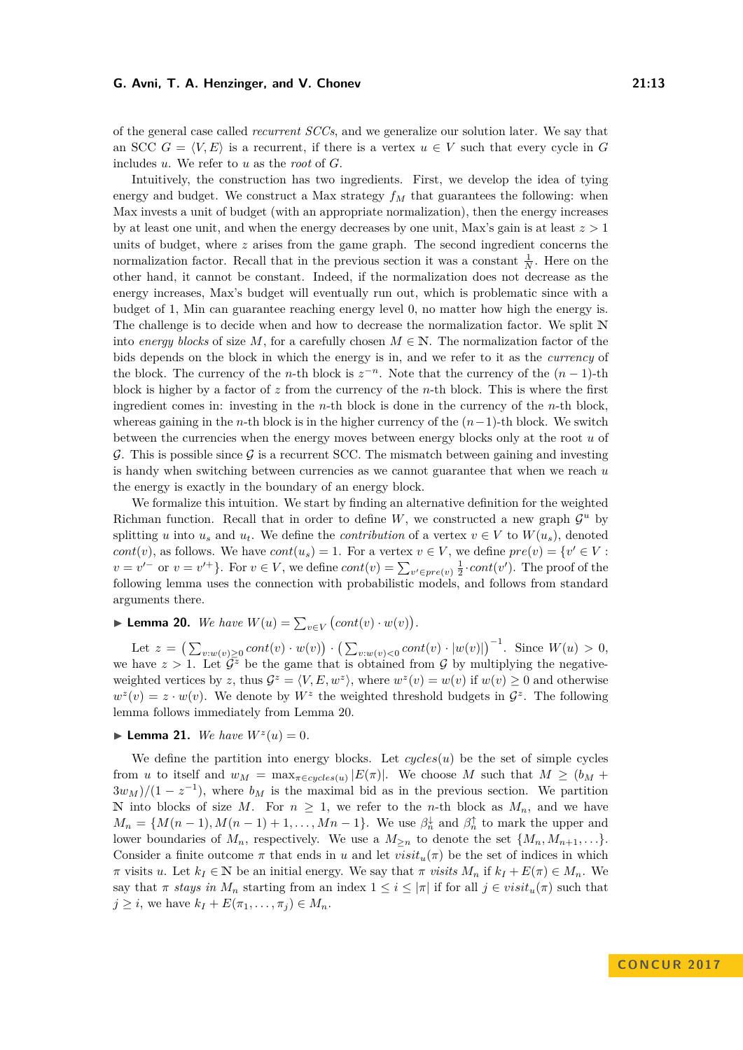of the general case called *recurrent SCCs*, and we generalize our solution later. We say that an SCC  $G = \langle V, E \rangle$  is a recurrent, if there is a vertex  $u \in V$  such that every cycle in G includes *u*. We refer to *u* as the *root* of *G*.

Intuitively, the construction has two ingredients. First, we develop the idea of tying energy and budget. We construct a Max strategy  $f_M$  that guarantees the following: when Max invests a unit of budget (with an appropriate normalization), then the energy increases by at least one unit, and when the energy decreases by one unit, Max's gain is at least *z >* 1 units of budget, where *z* arises from the game graph. The second ingredient concerns the normalization factor. Recall that in the previous section it was a constant  $\frac{1}{N}$ . Here on the other hand, it cannot be constant. Indeed, if the normalization does not decrease as the energy increases, Max's budget will eventually run out, which is problematic since with a budget of 1, Min can guarantee reaching energy level 0, no matter how high the energy is. The challenge is to decide when and how to decrease the normalization factor. We split N into *energy blocks* of size *M*, for a carefully chosen  $M \in \mathbb{N}$ . The normalization factor of the bids depends on the block in which the energy is in, and we refer to it as the *currency* of the block. The currency of the *n*-th block is  $z^{-n}$ . Note that the currency of the  $(n-1)$ -th block is higher by a factor of *z* from the currency of the *n*-th block. This is where the first ingredient comes in: investing in the *n*-th block is done in the currency of the *n*-th block, whereas gaining in the *n*-th block is in the higher currency of the (*n*−1)-th block. We switch between the currencies when the energy moves between energy blocks only at the root *u* of G. This is possible since G is a recurrent SCC. The mismatch between gaining and investing is handy when switching between currencies as we cannot guarantee that when we reach *u* the energy is exactly in the boundary of an energy block.

We formalize this intuition. We start by finding an alternative definition for the weighted Richman function. Recall that in order to define  $W$ , we constructed a new graph  $\mathcal{G}^u$  by splitting *u* into  $u_s$  and  $u_t$ . We define the *contribution* of a vertex  $v \in V$  to  $W(u_s)$ , denoted *cont*(*v*), as follows. We have *cont*( $u_s$ ) = 1. For a vertex  $v \in V$ , we define  $pre(v) = \{v' \in V :$  $v = v'^-$  or  $v = v'^+$ . For  $v \in V$ , we define  $cont(v) = \sum_{v' \in pre(v)} \frac{1}{2} \cdot cont(v')$ . The proof of the following lemma uses the connection with probabilistic models, and follows from standard arguments there.

<span id="page-12-0"></span>► Lemma 20. *We have*  $W(u) = \sum_{v \in V} (cont(v) \cdot w(v)).$ 

Let  $z = (\sum_{v:w(v)\geq 0} cont(v) \cdot w(v)) \cdot (\sum_{v:w(v)<0} cont(v) \cdot |w(v)|)^{-1}$ . Since  $W(u) > 0$ , we have  $z > 1$ . Let  $\overline{\mathcal{G}^z}$  be the game that is obtained from  $\mathcal G$  by multiplying the negativeweighted vertices by *z*, thus  $\mathcal{G}^z = \langle V, E, w^z \rangle$ , where  $w^z(v) = w(v)$  if  $w(v) \geq 0$  and otherwise  $w^2(v) = z \cdot w(v)$ . We denote by  $W^z$  the weighted threshold budgets in  $\mathcal{G}^z$ . The following lemma follows immediately from Lemma [20.](#page-12-0)

## **Example 21.** *We have*  $W^z(u) = 0$ .

We define the partition into energy blocks. Let  $cycles(u)$  be the set of simple cycles from *u* to itself and  $w_M = \max_{\pi \in cycles(u)} |E(\pi)|$ . We choose M such that  $M \geq (b_M + b_M)$  $3w_M$ / $(1-z^{-1})$ , where  $b_M$  is the maximal bid as in the previous section. We partition N into blocks of size M. For  $n \geq 1$ , we refer to the *n*-th block as  $M_n$ , and we have  $M_n = \{M(n-1), M(n-1) + 1, \ldots, Mn - 1\}$ . We use  $\beta_n^{\downarrow}$  and  $\beta_n^{\uparrow}$  to mark the upper and lower boundaries of  $M_n$ , respectively. We use a  $M_{\geq n}$  to denote the set  $\{M_n, M_{n+1}, \ldots\}$ . Consider a finite outcome  $\pi$  that ends in *u* and let  $visit_u(\pi)$  be the set of indices in which  $\pi$  visits *u*. Let  $k_I \in \mathbb{N}$  be an initial energy. We say that  $\pi$  *visits*  $M_n$  if  $k_I + E(\pi) \in M_n$ . We say that  $\pi$  *stays in*  $M_n$  starting from an index  $1 \leq i \leq |\pi|$  if for all  $j \in visit_u(\pi)$  such that  $j \geq i$ , we have  $k_I + E(\pi_1, ..., \pi_i) \in M_n$ .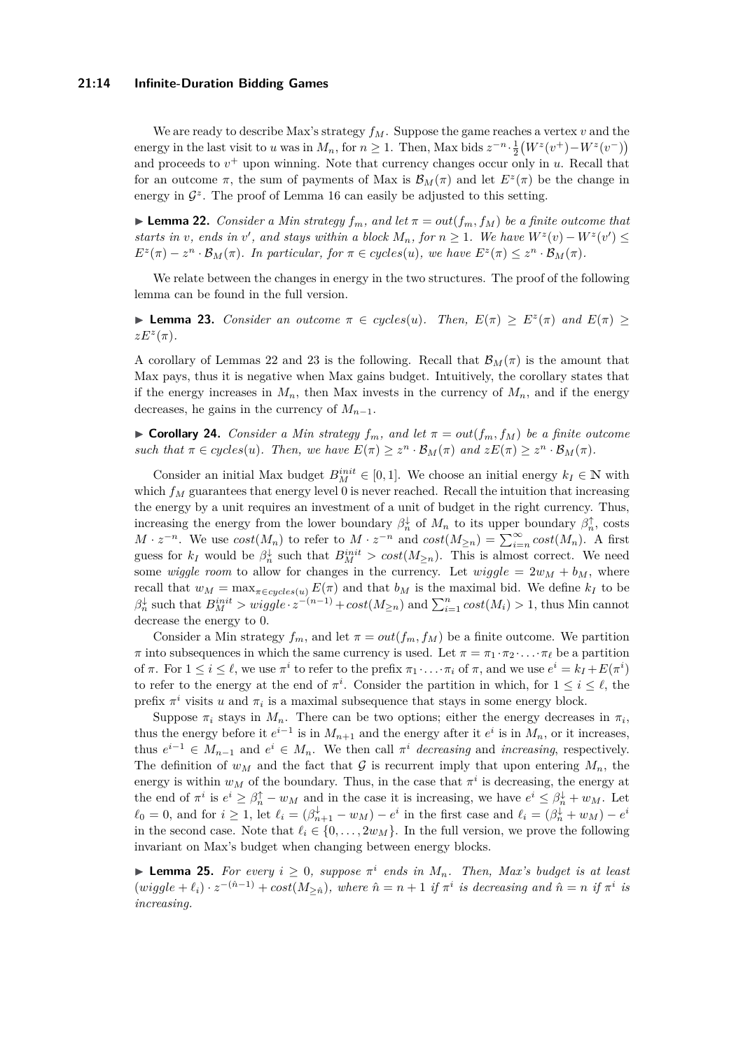### **21:14 Infinite-Duration Bidding Games**

We are ready to describe Max's strategy  $f_M$ . Suppose the game reaches a vertex  $v$  and the energy in the last visit to *u* was in  $M_n$ , for  $n \ge 1$ . Then, Max bids  $z^{-n} \cdot \frac{1}{2}(W^z(v^+) - W^z(v^-))$ and proceeds to  $v^+$  upon winning. Note that currency changes occur only in  $u$ . Recall that for an outcome  $\pi$ , the sum of payments of Max is  $\mathcal{B}_M(\pi)$  and let  $E^z(\pi)$  be the change in energy in  $\mathcal{G}^z$ . The proof of Lemma [16](#page-11-0) can easily be adjusted to this setting.

<span id="page-13-0"></span> $\blacktriangleright$  **Lemma 22.** *Consider a Min strategy*  $f_m$ *, and let*  $\pi = out(f_m, f_M)$  *be a finite outcome that starts in v*, ends in *v*<sup>*'*</sup>, and stays within a block  $M_n$ , for  $n \ge 1$ . We have  $W^z(v) - W^z(v') \le$  $E^z(\pi) - z^n \cdot \mathcal{B}_M(\pi)$ . In particular, for  $\pi \in cycles(u)$ , we have  $E^z(\pi) \leq z^n \cdot \mathcal{B}_M(\pi)$ .

We relate between the changes in energy in the two structures. The proof of the following lemma can be found in the full version.

<span id="page-13-1"></span>**I Lemma 23.** *Consider an outcome*  $\pi \in cycles(u)$ *. Then,*  $E(\pi) \geq E^z(\pi)$  *and*  $E(\pi) \geq$  $zE^z(\pi)$ .

A corollary of Lemmas [22](#page-13-0) and [23](#page-13-1) is the following. Recall that  $\mathcal{B}_M(\pi)$  is the amount that Max pays, thus it is negative when Max gains budget. Intuitively, the corollary states that if the energy increases in  $M_n$ , then Max invests in the currency of  $M_n$ , and if the energy decreases, he gains in the currency of  $M_{n-1}$ .

 $\triangleright$  **Corollary 24.** *Consider a Min strategy*  $f_m$ *, and let*  $\pi = out(f_m, f_M)$  *be a finite outcome such that*  $\pi \in cycles(u)$ *. Then, we have*  $E(\pi) \geq z^n \cdot \mathcal{B}_M(\pi)$  *and*  $zE(\pi) \geq z^n \cdot \mathcal{B}_M(\pi)$ *.* 

Consider an initial Max budget  $B_M^{init} \in [0,1]$ . We choose an initial energy  $k_I \in \mathbb{N}$  with which  $f_M$  guarantees that energy level 0 is never reached. Recall the intuition that increasing the energy by a unit requires an investment of a unit of budget in the right currency. Thus, increasing the energy from the lower boundary  $\beta_n^{\downarrow}$  of  $M_n$  to its upper boundary  $\beta_n^{\uparrow}$ , costs  $M \cdot z^{-n}$ . We use  $cost(M_n)$  to refer to  $M \cdot z^{-n}$  and  $cost(M_{\geq n}) = \sum_{i=n}^{\infty} cost(M_n)$ . A first guess for  $k_I$  would be  $\beta_n^{\downarrow}$  such that  $B_M^{init} > cost(M_{\geq n})$ . This is almost correct. We need some *wiggle room* to allow for changes in the currency. Let  $wiggle = 2w_M + b_M$ , where recall that  $w_M = \max_{\pi \in cycles(u)} E(\pi)$  and that  $b_M$  is the maximal bid. We define  $k_I$  to be  $\beta_n^{\downarrow}$  such that  $B_M^{init} > wiggle \cdot z^{-(n-1)} + cost(M_{\geq n})$  and  $\sum_{i=1}^n cost(M_i) > 1$ , thus Min cannot decrease the energy to 0.

Consider a Min strategy  $f_m$ , and let  $\pi = out(f_m, f_M)$  be a finite outcome. We partition *π* into subsequences in which the same currency is used. Let  $\pi = \pi_1 \cdot \pi_2 \cdot \ldots \cdot \pi_\ell$  be a partition of  $\pi$ . For  $1 \leq i \leq \ell$ , we use  $\pi^i$  to refer to the prefix  $\pi_1 \cdot \ldots \cdot \pi_i$  of  $\pi$ , and we use  $e^i = k_I + E(\pi^i)$ to refer to the energy at the end of  $\pi^i$ . Consider the partition in which, for  $1 \leq i \leq \ell$ , the prefix  $\pi^i$  visits *u* and  $\pi_i$  is a maximal subsequence that stays in some energy block.

Suppose  $\pi_i$  stays in  $M_n$ . There can be two options; either the energy decreases in  $\pi_i$ , thus the energy before it  $e^{i-1}$  is in  $M_{n+1}$  and the energy after it  $e^i$  is in  $M_n$ , or it increases, thus  $e^{i-1} \in M_{n-1}$  and  $e^i \in M_n$ . We then call  $\pi^i$  *decreasing* and *increasing*, respectively. The definition of  $w_M$  and the fact that  $\mathcal G$  is recurrent imply that upon entering  $M_n$ , the energy is within  $w_M$  of the boundary. Thus, in the case that  $\pi^i$  is decreasing, the energy at the end of  $\pi^i$  is  $e^i \geq \beta_n^{\uparrow} - w_M$  and in the case it is increasing, we have  $e^i \leq \beta_n^{\downarrow} + w_M$ . Let  $\ell_0 = 0$ , and for  $i \ge 1$ , let  $\ell_i = (\beta_{n+1}^{\downarrow} - w_M) - e^i$  in the first case and  $\ell_i = (\beta_n^{\downarrow} + w_M) - e^i$ in the second case. Note that  $\ell_i \in \{0, \ldots, 2w_M\}$ . In the full version, we prove the following invariant on Max's budget when changing between energy blocks.

<span id="page-13-2"></span>**Lemma 25.** For every  $i \geq 0$ , suppose  $\pi^i$  ends in  $M_n$ . Then, Max's budget is at least  $(wiggle + \ell_i) \cdot z^{-(\hat{n}-1)} + cost(M_{\geq \hat{n}}),$  where  $\hat{n} = n+1$  if  $\pi^i$  is decreasing and  $\hat{n} = n$  if  $\pi^i$  is *increasing.*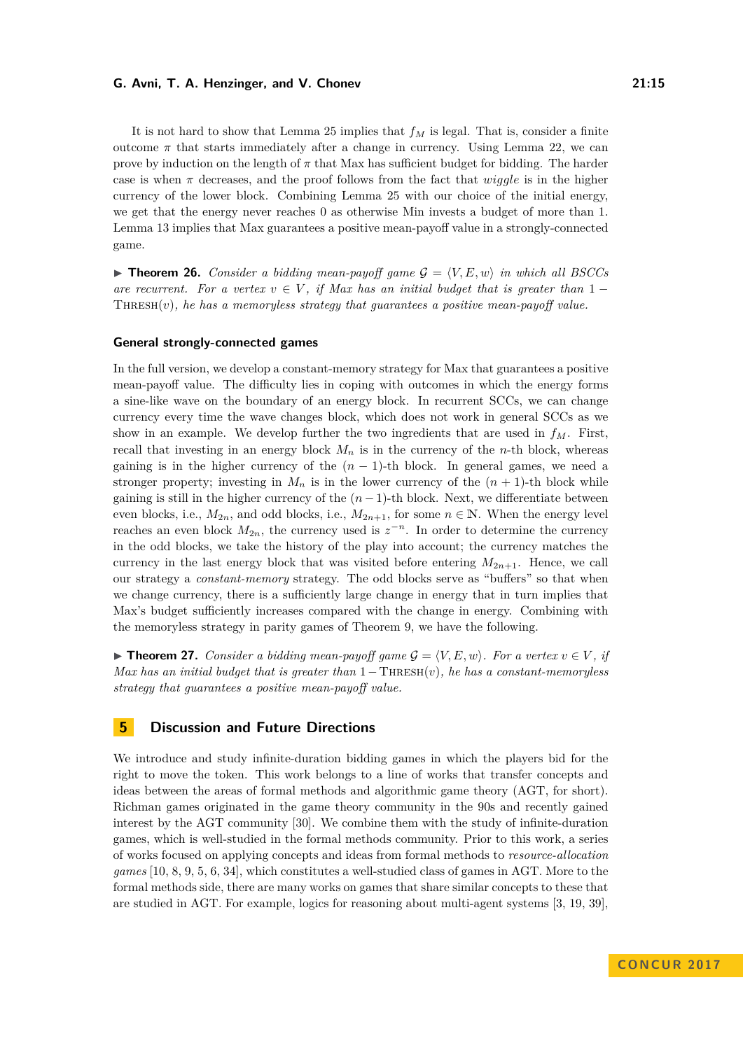It is not hard to show that Lemma [25](#page-13-2) implies that *f<sup>M</sup>* is legal. That is, consider a finite outcome  $\pi$  that starts immediately after a change in currency. Using Lemma [22,](#page-13-0) we can prove by induction on the length of *π* that Max has sufficient budget for bidding. The harder case is when  $\pi$  decreases, and the proof follows from the fact that *wiggle* is in the higher currency of the lower block. Combining Lemma [25](#page-13-2) with our choice of the initial energy, we get that the energy never reaches 0 as otherwise Min invests a budget of more than 1. Lemma [13](#page-9-1) implies that Max guarantees a positive mean-payoff value in a strongly-connected game.

 $\triangleright$  **Theorem 26.** *Consider a bidding mean-payoff game*  $\mathcal{G} = \langle V, E, w \rangle$  *in which all BSCCs are recurrent. For a vertex*  $v \in V$ , *if Max has an initial budget that is greater than* 1 − Thresh(*v*)*, he has a memoryless strategy that guarantees a positive mean-payoff value.*

### **General strongly-connected games**

In the full version, we develop a constant-memory strategy for Max that guarantees a positive mean-payoff value. The difficulty lies in coping with outcomes in which the energy forms a sine-like wave on the boundary of an energy block. In recurrent SCCs, we can change currency every time the wave changes block, which does not work in general SCCs as we show in an example. We develop further the two ingredients that are used in  $f<sub>M</sub>$ . First, recall that investing in an energy block  $M_n$  is in the currency of the *n*-th block, whereas gaining is in the higher currency of the  $(n-1)$ -th block. In general games, we need a stronger property; investing in  $M_n$  is in the lower currency of the  $(n + 1)$ -th block while gaining is still in the higher currency of the  $(n-1)$ -th block. Next, we differentiate between even blocks, i.e.,  $M_{2n}$ , and odd blocks, i.e.,  $M_{2n+1}$ , for some  $n \in \mathbb{N}$ . When the energy level reaches an even block  $M_{2n}$ , the currency used is  $z^{-n}$ . In order to determine the currency in the odd blocks, we take the history of the play into account; the currency matches the currency in the last energy block that was visited before entering  $M_{2n+1}$ . Hence, we call our strategy a *constant-memory* strategy. The odd blocks serve as "buffers" so that when we change currency, there is a sufficiently large change in energy that in turn implies that Max's budget sufficiently increases compared with the change in energy. Combining with the memoryless strategy in parity games of Theorem [9,](#page-8-1) we have the following.

▶ **Theorem 27.** *Consider a bidding mean-payoff game*  $\mathcal{G} = \langle V, E, w \rangle$ *. For a vertex*  $v \in V$ *, if Max has an initial budget that is greater than* 1−Thresh(*v*)*, he has a constant-memoryless strategy that guarantees a positive mean-payoff value.*

### **5 Discussion and Future Directions**

We introduce and study infinite-duration bidding games in which the players bid for the right to move the token. This work belongs to a line of works that transfer concepts and ideas between the areas of formal methods and algorithmic game theory (AGT, for short). Richman games originated in the game theory community in the 90s and recently gained interest by the AGT community [\[30\]](#page-16-13). We combine them with the study of infinite-duration games, which is well-studied in the formal methods community. Prior to this work, a series of works focused on applying concepts and ideas from formal methods to *resource-allocation games* [\[10,](#page-15-6) [8,](#page-15-7) [9,](#page-15-8) [5,](#page-15-9) [6,](#page-15-10) [34\]](#page-16-15), which constitutes a well-studied class of games in AGT. More to the formal methods side, there are many works on games that share similar concepts to these that are studied in AGT. For example, logics for reasoning about multi-agent systems [\[3,](#page-15-11) [19,](#page-16-16) [39\]](#page-16-17),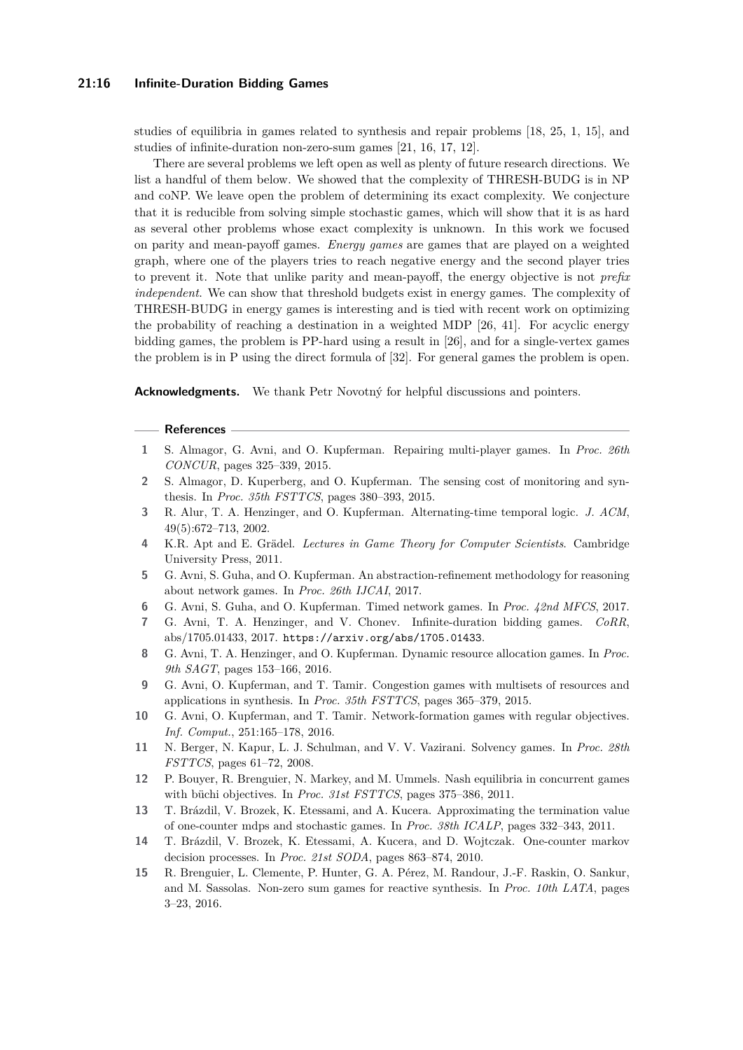### **21:16 Infinite-Duration Bidding Games**

studies of equilibria in games related to synthesis and repair problems [\[18,](#page-16-18) [25,](#page-16-19) [1,](#page-15-12) [15\]](#page-15-13), and studies of infinite-duration non-zero-sum games [\[21,](#page-16-20) [16,](#page-16-21) [17,](#page-16-22) [12\]](#page-15-14).

There are several problems we left open as well as plenty of future research directions. We list a handful of them below. We showed that the complexity of THRESH-BUDG is in NP and coNP. We leave open the problem of determining its exact complexity. We conjecture that it is reducible from solving simple stochastic games, which will show that it is as hard as several other problems whose exact complexity is unknown. In this work we focused on parity and mean-payoff games. *Energy games* are games that are played on a weighted graph, where one of the players tries to reach negative energy and the second player tries to prevent it. Note that unlike parity and mean-payoff, the energy objective is not *prefix independent*. We can show that threshold budgets exist in energy games. The complexity of THRESH-BUDG in energy games is interesting and is tied with recent work on optimizing the probability of reaching a destination in a weighted MDP [\[26,](#page-16-23) [41\]](#page-17-3). For acyclic energy bidding games, the problem is PP-hard using a result in [\[26\]](#page-16-23), and for a single-vertex games the problem is in P using the direct formula of [\[32\]](#page-16-24). For general games the problem is open.

**Acknowledgments.** We thank Petr Novotný for helpful discussions and pointers.

#### **References**

- <span id="page-15-12"></span>**1** S. Almagor, G. Avni, and O. Kupferman. Repairing multi-player games. In *Proc. 26th CONCUR*, pages 325–339, 2015.
- <span id="page-15-1"></span>**2** S. Almagor, D. Kuperberg, and O. Kupferman. The sensing cost of monitoring and synthesis. In *Proc. 35th FSTTCS*, pages 380–393, 2015.
- <span id="page-15-11"></span>**3** R. Alur, T. A. Henzinger, and O. Kupferman. Alternating-time temporal logic. *J. ACM*, 49(5):672–713, 2002.
- <span id="page-15-0"></span>**4** K.R. Apt and E. Grädel. *Lectures in Game Theory for Computer Scientists*. Cambridge University Press, 2011.
- <span id="page-15-9"></span>**5** G. Avni, S. Guha, and O. Kupferman. An abstraction-refinement methodology for reasoning about network games. In *Proc. 26th IJCAI*, 2017.
- <span id="page-15-10"></span>**6** G. Avni, S. Guha, and O. Kupferman. Timed network games. In *Proc. 42nd MFCS*, 2017.
- <span id="page-15-5"></span>**7** G. Avni, T. A. Henzinger, and V. Chonev. Infinite-duration bidding games. *CoRR*, abs/1705.01433, 2017. <https://arxiv.org/abs/1705.01433>.
- <span id="page-15-7"></span>**8** G. Avni, T. A. Henzinger, and O. Kupferman. Dynamic resource allocation games. In *Proc. 9th SAGT*, pages 153–166, 2016.
- <span id="page-15-8"></span>**9** G. Avni, O. Kupferman, and T. Tamir. Congestion games with multisets of resources and applications in synthesis. In *Proc. 35th FSTTCS*, pages 365–379, 2015.
- <span id="page-15-6"></span>**10** G. Avni, O. Kupferman, and T. Tamir. Network-formation games with regular objectives. *Inf. Comput.*, 251:165–178, 2016.
- <span id="page-15-4"></span>**11** N. Berger, N. Kapur, L. J. Schulman, and V. V. Vazirani. Solvency games. In *Proc. 28th FSTTCS*, pages 61–72, 2008.
- <span id="page-15-14"></span>**12** P. Bouyer, R. Brenguier, N. Markey, and M. Ummels. Nash equilibria in concurrent games with büchi objectives. In *Proc. 31st FSTTCS*, pages 375–386, 2011.
- <span id="page-15-3"></span>**13** T. Brázdil, V. Brozek, K. Etessami, and A. Kucera. Approximating the termination value of one-counter mdps and stochastic games. In *Proc. 38th ICALP*, pages 332–343, 2011.
- <span id="page-15-2"></span>**14** T. Brázdil, V. Brozek, K. Etessami, A. Kucera, and D. Wojtczak. One-counter markov decision processes. In *Proc. 21st SODA*, pages 863–874, 2010.
- <span id="page-15-13"></span>**15** R. Brenguier, L. Clemente, P. Hunter, G. A. Pérez, M. Randour, J.-F. Raskin, O. Sankur, and M. Sassolas. Non-zero sum games for reactive synthesis. In *Proc. 10th LATA*, pages 3–23, 2016.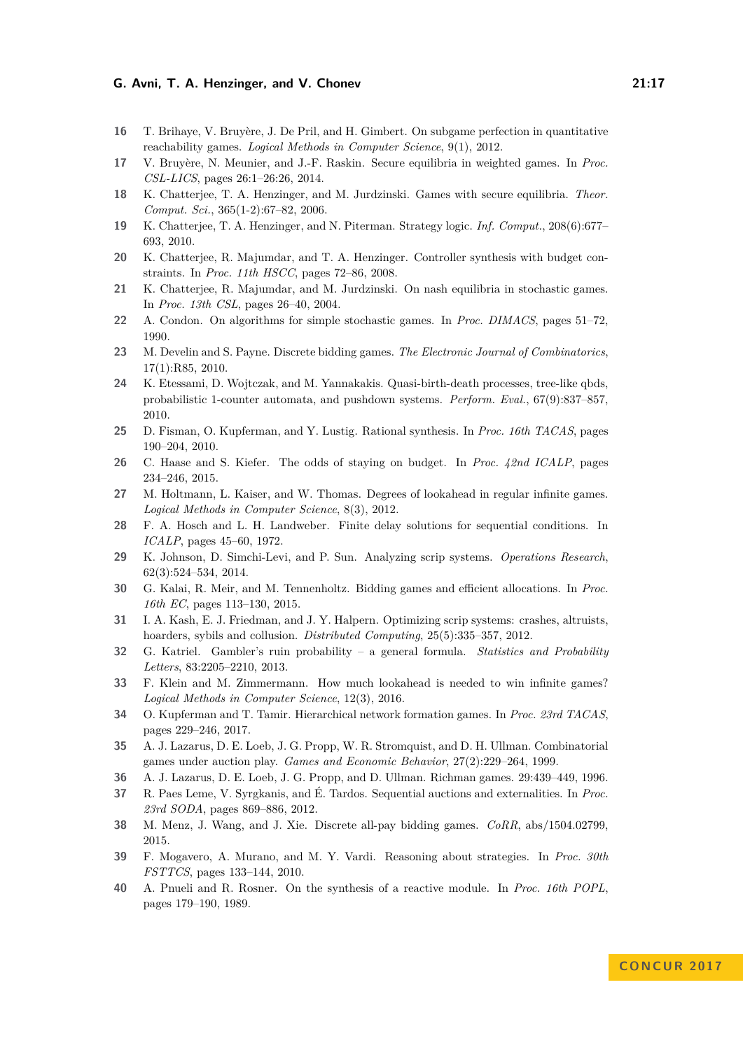- <span id="page-16-21"></span>**16** T. Brihaye, V. Bruyère, J. De Pril, and H. Gimbert. On subgame perfection in quantitative reachability games. *Logical Methods in Computer Science*, 9(1), 2012.
- <span id="page-16-22"></span>**17** V. Bruyère, N. Meunier, and J.-F. Raskin. Secure equilibria in weighted games. In *Proc. CSL-LICS*, pages 26:1–26:26, 2014.
- <span id="page-16-18"></span>**18** K. Chatterjee, T. A. Henzinger, and M. Jurdzinski. Games with secure equilibria. *Theor. Comput. Sci.*, 365(1-2):67–82, 2006.
- <span id="page-16-16"></span>**19** K. Chatterjee, T. A. Henzinger, and N. Piterman. Strategy logic. *Inf. Comput.*, 208(6):677– 693, 2010.
- <span id="page-16-3"></span>**20** K. Chatterjee, R. Majumdar, and T. A. Henzinger. Controller synthesis with budget constraints. In *Proc. 11th HSCC*, pages 72–86, 2008.
- <span id="page-16-20"></span>**21** K. Chatterjee, R. Majumdar, and M. Jurdzinski. On nash equilibria in stochastic games. In *Proc. 13th CSL*, pages 26–40, 2004.
- <span id="page-16-14"></span>**22** A. Condon. On algorithms for simple stochastic games. In *Proc. DIMACS*, pages 51–72, 1990.
- <span id="page-16-11"></span>**23** M. Develin and S. Payne. Discrete bidding games. *The Electronic Journal of Combinatorics*, 17(1):R85, 2010.
- <span id="page-16-10"></span>**24** K. Etessami, D. Wojtczak, and M. Yannakakis. Quasi-birth-death processes, tree-like qbds, probabilistic 1-counter automata, and pushdown systems. *Perform. Eval.*, 67(9):837–857, 2010.
- <span id="page-16-19"></span>**25** D. Fisman, O. Kupferman, and Y. Lustig. Rational synthesis. In *Proc. 16th TACAS*, pages 190–204, 2010.
- <span id="page-16-23"></span>**26** C. Haase and S. Kiefer. The odds of staying on budget. In *Proc. 42nd ICALP*, pages 234–246, 2015.
- <span id="page-16-5"></span>**27** M. Holtmann, L. Kaiser, and W. Thomas. Degrees of lookahead in regular infinite games. *Logical Methods in Computer Science*, 8(3), 2012.
- <span id="page-16-4"></span>**28** F. A. Hosch and L. H. Landweber. Finite delay solutions for sequential conditions. In *ICALP*, pages 45–60, 1972.
- <span id="page-16-8"></span>**29** K. Johnson, D. Simchi-Levi, and P. Sun. Analyzing scrip systems. *Operations Research*, 62(3):524–534, 2014.
- <span id="page-16-13"></span>**30** G. Kalai, R. Meir, and M. Tennenholtz. Bidding games and efficient allocations. In *Proc. 16th EC*, pages 113–130, 2015.
- <span id="page-16-7"></span>**31** I. A. Kash, E. J. Friedman, and J. Y. Halpern. Optimizing scrip systems: crashes, altruists, hoarders, sybils and collusion. *Distributed Computing*, 25(5):335–357, 2012.
- <span id="page-16-24"></span>**32** G. Katriel. Gambler's ruin probability – a general formula. *Statistics and Probability Letters*, 83:2205–2210, 2013.
- <span id="page-16-6"></span>**33** F. Klein and M. Zimmermann. How much lookahead is needed to win infinite games? *Logical Methods in Computer Science*, 12(3), 2016.
- <span id="page-16-15"></span>**34** O. Kupferman and T. Tamir. Hierarchical network formation games. In *Proc. 23rd TACAS*, pages 229–246, 2017.
- <span id="page-16-1"></span>**35** A. J. Lazarus, D. E. Loeb, J. G. Propp, W. R. Stromquist, and D. H. Ullman. Combinatorial games under auction play. *Games and Economic Behavior*, 27(2):229–264, 1999.
- <span id="page-16-0"></span>**36** A. J. Lazarus, D. E. Loeb, J. G. Propp, and D. Ullman. Richman games. 29:439–449, 1996.
- <span id="page-16-9"></span>**37** R. Paes Leme, V. Syrgkanis, and É. Tardos. Sequential auctions and externalities. In *Proc. 23rd SODA*, pages 869–886, 2012.
- <span id="page-16-12"></span>**38** M. Menz, J. Wang, and J. Xie. Discrete all-pay bidding games. *CoRR*, abs/1504.02799, 2015.
- <span id="page-16-17"></span>**39** F. Mogavero, A. Murano, and M. Y. Vardi. Reasoning about strategies. In *Proc. 30th FSTTCS*, pages 133–144, 2010.
- <span id="page-16-2"></span>**40** A. Pnueli and R. Rosner. On the synthesis of a reactive module. In *Proc. 16th POPL*, pages 179–190, 1989.